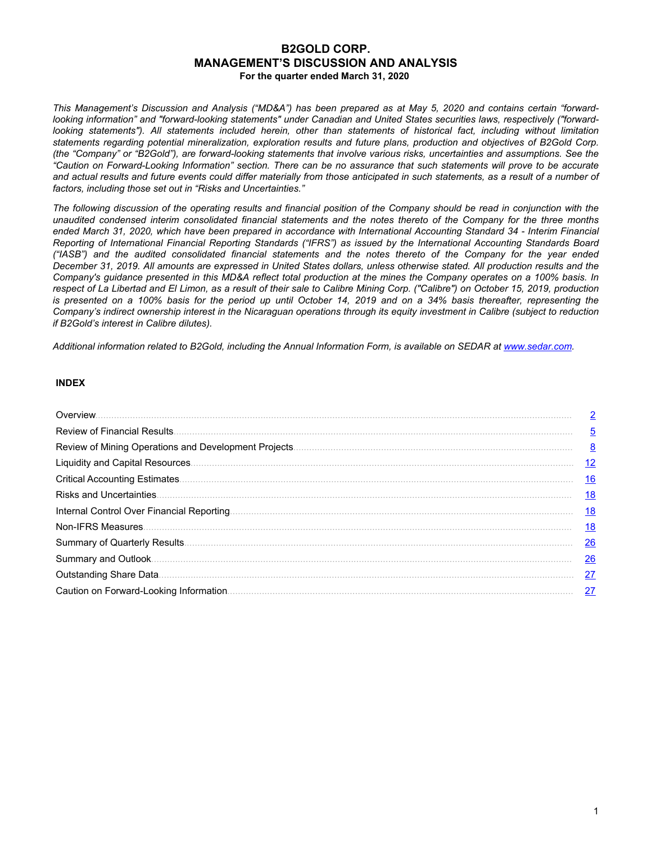# **B2GOLD CORP. MANAGEMENT'S DISCUSSION AND ANALYSIS For the quarter ended March 31, 2020**

This Management's Discussion and Analysis ("MD&A") has been prepared as at May 5, 2020 and contains certain "forwardlooking information" and "forward-looking statements" under Canadian and United States securities laws, respectively ("forwardlooking statements"). All statements included herein, other than statements of historical fact, including without limitation statements regarding potential mineralization, exploration results and future plans, production and objectives of B2Gold Corp. (the "Company" or "B2Gold"), are forward-looking statements that involve various risks, uncertainties and assumptions. See the "Caution on Forward-Looking Information" section. There can be no assurance that such statements will prove to be accurate and actual results and future events could differ materially from those anticipated in such statements, as a result of a number of *factors, including those set out in "Risks and Uncertainties."*

The following discussion of the operating results and financial position of the Company should be read in conjunction with the unaudited condensed interim consolidated financial statements and the notes thereto of the Company for the three months ended March 31, 2020, which have been prepared in accordance with International Accounting Standard 34 - Interim Financial Reporting of International Financial Reporting Standards ("IFRS") as issued by the International Accounting Standards Board ("IASB") and the audited consolidated financial statements and the notes thereto of the Company for the year ended December 31, 2019. All amounts are expressed in United States dollars, unless otherwise stated. All production results and the Company's guidance presented in this MD&A reflect total production at the mines the Company operates on a 100% basis. In respect of La Libertad and El Limon, as a result of their sale to Calibre Mining Corp. ("Calibre") on October 15, 2019, production is presented on a 100% basis for the period up until October 14, 2019 and on a 34% basis thereafter, representing the Company's indirect ownership interest in the Nicaraguan operations through its equity investment in Calibre (subject to reduction *if B2Gold's interest in Calibre dilutes).*

Additional information related to B2Gold, including the Annual Information Form, is available on SEDAR at www.sedar.com.

# **INDEX**

| Overview.                       | $\overline{2}$  |
|---------------------------------|-----------------|
|                                 | 5               |
|                                 | <u>8</u>        |
|                                 | <u> 12</u>      |
|                                 | <u> 16</u>      |
| <b>Risks and Uncertainties.</b> | 18              |
|                                 | 18              |
|                                 | <u> 18</u>      |
|                                 | $\overline{26}$ |
|                                 | 26              |
|                                 | $\frac{27}{2}$  |
|                                 | 27              |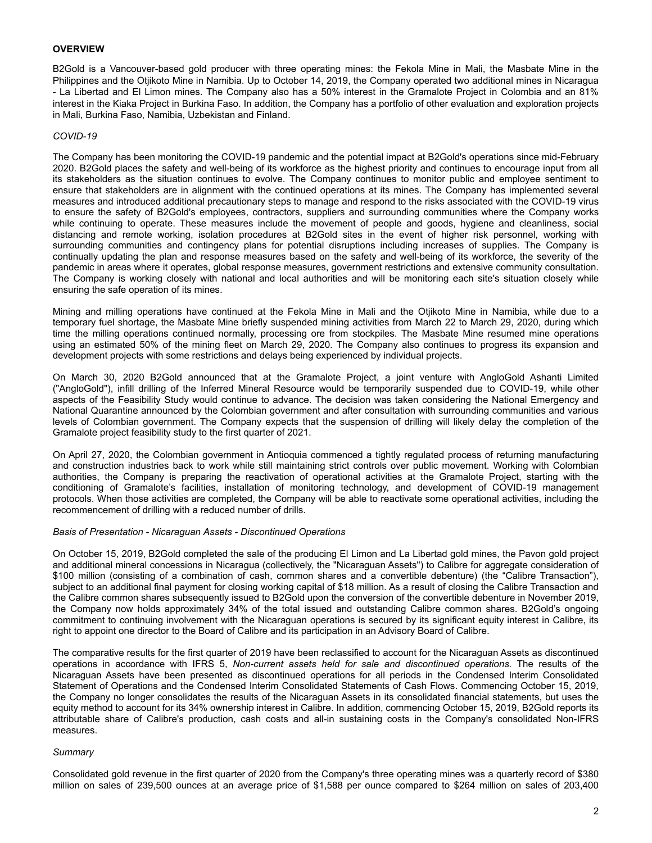## <span id="page-1-0"></span>**OVERVIEW**

B2Gold is a Vancouver-based gold producer with three operating mines: the Fekola Mine in Mali, the Masbate Mine in the Philippines and the Otjikoto Mine in Namibia. Up to October 14, 2019, the Company operated two additional mines in Nicaragua - La Libertad and El Limon mines. The Company also has a 50% interest in the Gramalote Project in Colombia and an 81% interest in the Kiaka Project in Burkina Faso. In addition, the Company has a portfolio of other evaluation and exploration projects in Mali, Burkina Faso, Namibia, Uzbekistan and Finland.

#### *COVID-19*

The Company has been monitoring the COVID-19 pandemic and the potential impact at B2Gold's operations since mid-February 2020. B2Gold places the safety and well-being of its workforce as the highest priority and continues to encourage input from all its stakeholders as the situation continues to evolve. The Company continues to monitor public and employee sentiment to ensure that stakeholders are in alignment with the continued operations at its mines. The Company has implemented several measures and introduced additional precautionary steps to manage and respond to the risks associated with the COVID-19 virus to ensure the safety of B2Gold's employees, contractors, suppliers and surrounding communities where the Company works while continuing to operate. These measures include the movement of people and goods, hygiene and cleanliness, social distancing and remote working, isolation procedures at B2Gold sites in the event of higher risk personnel, working with surrounding communities and contingency plans for potential disruptions including increases of supplies. The Company is continually updating the plan and response measures based on the safety and well-being of its workforce, the severity of the pandemic in areas where it operates, global response measures, government restrictions and extensive community consultation. The Company is working closely with national and local authorities and will be monitoring each site's situation closely while ensuring the safe operation of its mines.

Mining and milling operations have continued at the Fekola Mine in Mali and the Otjikoto Mine in Namibia, while due to a temporary fuel shortage, the Masbate Mine briefly suspended mining activities from March 22 to March 29, 2020, during which time the milling operations continued normally, processing ore from stockpiles. The Masbate Mine resumed mine operations using an estimated 50% of the mining fleet on March 29, 2020. The Company also continues to progress its expansion and development projects with some restrictions and delays being experienced by individual projects.

On March 30, 2020 B2Gold announced that at the Gramalote Project, a joint venture with AngloGold Ashanti Limited ("AngloGold"), infill drilling of the Inferred Mineral Resource would be temporarily suspended due to COVID-19, while other aspects of the Feasibility Study would continue to advance. The decision was taken considering the National Emergency and National Quarantine announced by the Colombian government and after consultation with surrounding communities and various levels of Colombian government. The Company expects that the suspension of drilling will likely delay the completion of the Gramalote project feasibility study to the first quarter of 2021.

On April 27, 2020, the Colombian government in Antioquia commenced a tightly regulated process of returning manufacturing and construction industries back to work while still maintaining strict controls over public movement. Working with Colombian authorities, the Company is preparing the reactivation of operational activities at the Gramalote Project, starting with the conditioning of Gramalote's facilities, installation of monitoring technology, and development of COVID-19 management protocols. When those activities are completed, the Company will be able to reactivate some operational activities, including the recommencement of drilling with a reduced number of drills.

#### *Basis of Presentation - Nicaraguan Assets - Discontinued Operations*

On October 15, 2019, B2Gold completed the sale of the producing El Limon and La Libertad gold mines, the Pavon gold project and additional mineral concessions in Nicaragua (collectively, the "Nicaraguan Assets") to Calibre for aggregate consideration of \$100 million (consisting of a combination of cash, common shares and a convertible debenture) (the "Calibre Transaction"), subject to an additional final payment for closing working capital of \$18 million. As a result of closing the Calibre Transaction and the Calibre common shares subsequently issued to B2Gold upon the conversion of the convertible debenture in November 2019, the Company now holds approximately 34% of the total issued and outstanding Calibre common shares. B2Gold's ongoing commitment to continuing involvement with the Nicaraguan operations is secured by its significant equity interest in Calibre, its right to appoint one director to the Board of Calibre and its participation in an Advisory Board of Calibre.

The comparative results for the first quarter of 2019 have been reclassified to account for the Nicaraguan Assets as discontinued operations in accordance with IFRS 5, *Non-current assets held for sale and discontinued operations.* The results of the Nicaraguan Assets have been presented as discontinued operations for all periods in the Condensed Interim Consolidated Statement of Operations and the Condensed Interim Consolidated Statements of Cash Flows. Commencing October 15, 2019, the Company no longer consolidates the results of the Nicaraguan Assets in its consolidated financial statements, but uses the equity method to account for its 34% ownership interest in Calibre. In addition, commencing October 15, 2019, B2Gold reports its attributable share of Calibre's production, cash costs and all-in sustaining costs in the Company's consolidated Non-IFRS measures.

#### *Summary*

Consolidated gold revenue in the first quarter of 2020 from the Company's three operating mines was a quarterly record of \$380 million on sales of 239,500 ounces at an average price of \$1,588 per ounce compared to \$264 million on sales of 203,400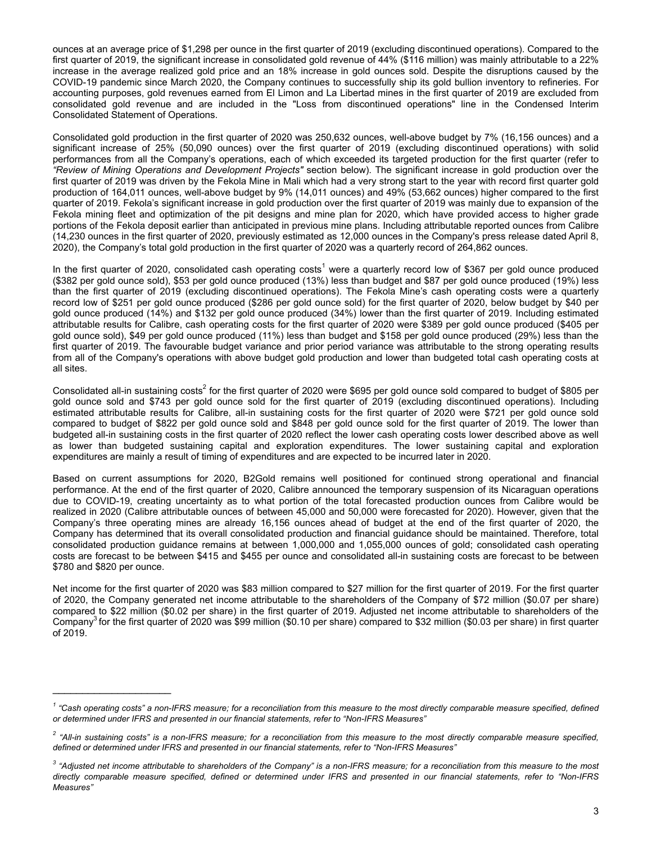ounces at an average price of \$1,298 per ounce in the first quarter of 2019 (excluding discontinued operations). Compared to the first quarter of 2019, the significant increase in consolidated gold revenue of 44% (\$116 million) was mainly attributable to a 22% increase in the average realized gold price and an 18% increase in gold ounces sold. Despite the disruptions caused by the COVID-19 pandemic since March 2020, the Company continues to successfully ship its gold bullion inventory to refineries. For accounting purposes, gold revenues earned from El Limon and La Libertad mines in the first quarter of 2019 are excluded from consolidated gold revenue and are included in the "Loss from discontinued operations" line in the Condensed Interim Consolidated Statement of Operations.

Consolidated gold production in the first quarter of 2020 was 250,632 ounces, well-above budget by 7% (16,156 ounces) and a significant increase of 25% (50,090 ounces) over the first quarter of 2019 (excluding discontinued operations) with solid performances from all the Company's operations, each of which exceeded its targeted production for the first quarter (refer to *"Review of Mining Operations and Development Projects"* section below). The significant increase in gold production over the first quarter of 2019 was driven by the Fekola Mine in Mali which had a very strong start to the year with record first quarter gold production of 164,011 ounces, well-above budget by 9% (14,011 ounces) and 49% (53,662 ounces) higher compared to the first quarter of 2019. Fekola's significant increase in gold production over the first quarter of 2019 was mainly due to expansion of the Fekola mining fleet and optimization of the pit designs and mine plan for 2020, which have provided access to higher grade portions of the Fekola deposit earlier than anticipated in previous mine plans. Including attributable reported ounces from Calibre (14,230 ounces in the first quarter of 2020, previously estimated as 12,000 ounces in the Company's press release dated April 8, 2020), the Company's total gold production in the first quarter of 2020 was a quarterly record of 264,862 ounces.

In the first quarter of 2020, consolidated cash operating costs<sup>1</sup> were a quarterly record low of \$367 per gold ounce produced (\$382 per gold ounce sold), \$53 per gold ounce produced (13%) less than budget and \$87 per gold ounce produced (19%) less than the first quarter of 2019 (excluding discontinued operations). The Fekola Mine's cash operating costs were a quarterly record low of \$251 per gold ounce produced (\$286 per gold ounce sold) for the first quarter of 2020, below budget by \$40 per gold ounce produced (14%) and \$132 per gold ounce produced (34%) lower than the first quarter of 2019. Including estimated attributable results for Calibre, cash operating costs for the first quarter of 2020 were \$389 per gold ounce produced (\$405 per gold ounce sold), \$49 per gold ounce produced (11%) less than budget and \$158 per gold ounce produced (29%) less than the first quarter of 2019. The favourable budget variance and prior period variance was attributable to the strong operating results from all of the Company's operations with above budget gold production and lower than budgeted total cash operating costs at all sites.

Consolidated all-in sustaining costs<sup>2</sup> for the first quarter of 2020 were \$695 per gold ounce sold compared to budget of \$805 per gold ounce sold and \$743 per gold ounce sold for the first quarter of 2019 (excluding discontinued operations). Including estimated attributable results for Calibre, all-in sustaining costs for the first quarter of 2020 were \$721 per gold ounce sold compared to budget of \$822 per gold ounce sold and \$848 per gold ounce sold for the first quarter of 2019. The lower than budgeted all-in sustaining costs in the first quarter of 2020 reflect the lower cash operating costs lower described above as well as lower than budgeted sustaining capital and exploration expenditures. The lower sustaining capital and exploration expenditures are mainly a result of timing of expenditures and are expected to be incurred later in 2020.

Based on current assumptions for 2020, B2Gold remains well positioned for continued strong operational and financial performance. At the end of the first quarter of 2020, Calibre announced the temporary suspension of its Nicaraguan operations due to COVID-19, creating uncertainty as to what portion of the total forecasted production ounces from Calibre would be realized in 2020 (Calibre attributable ounces of between 45,000 and 50,000 were forecasted for 2020). However, given that the Company's three operating mines are already 16,156 ounces ahead of budget at the end of the first quarter of 2020, the Company has determined that its overall consolidated production and financial guidance should be maintained. Therefore, total consolidated production guidance remains at between 1,000,000 and 1,055,000 ounces of gold; consolidated cash operating costs are forecast to be between \$415 and \$455 per ounce and consolidated all-in sustaining costs are forecast to be between \$780 and \$820 per ounce.

Net income for the first quarter of 2020 was \$83 million compared to \$27 million for the first quarter of 2019. For the first quarter of 2020, the Company generated net income attributable to the shareholders of the Company of \$72 million (\$0.07 per share) compared to \$22 million (\$0.02 per share) in the first quarter of 2019. Adjusted net income attributable to shareholders of the Company<sup>3</sup> for the first quarter of 2020 was \$99 million (\$0.10 per share) compared to \$32 million (\$0.03 per share) in first quarter of 2019.

 $\mathcal{L}_\text{max}$  , where  $\mathcal{L}_\text{max}$  , we have the set of  $\mathcal{L}_\text{max}$ 

*<sup>1</sup>* "Cash operating costs" a non-IFRS measure; for a reconciliation from this measure to the most directly comparable measure specified, defined *or determined under IFRS and presented in our financial statements, refer to "Non-IFRS Measures"*

<sup>&</sup>lt;sup>2</sup> "All-in sustaining costs" is a non-IFRS measure; for a reconciliation from this measure to the most directly comparable measure specified, *defined or determined under IFRS and presented in our financial statements, refer to "Non-IFRS Measures"*

 $^3$  "Adjusted net income attributable to shareholders of the Company" is a non-IFRS measure; for a reconciliation from this measure to the most directly comparable measure specified, defined or determined under IFRS and presented in our financial statements, refer to "Non-IFRS *Measures"*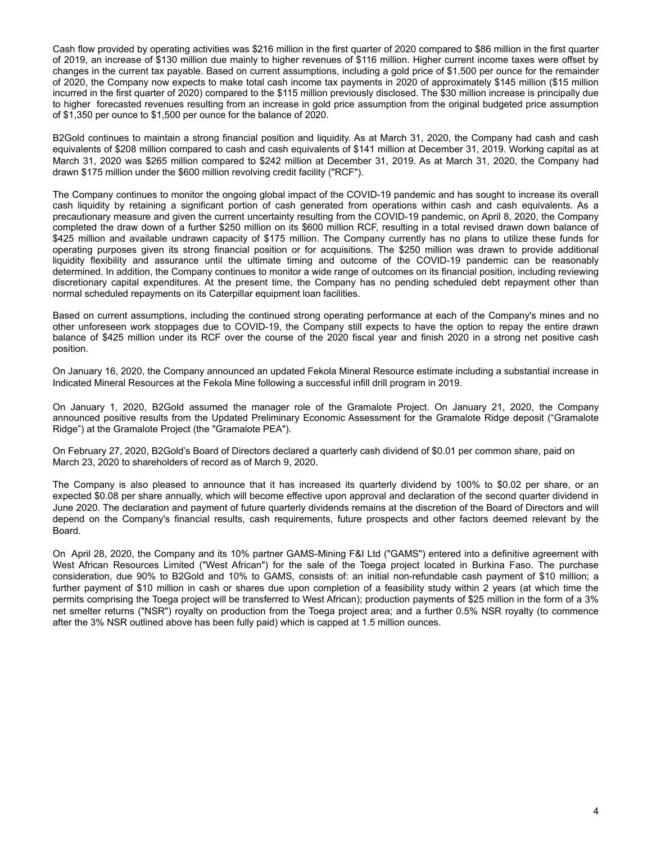Cash flow provided by operating activities was \$216 million in the first quarter of 2020 compared to \$86 million in the first quarter of 2019, an increase of \$130 million due mainly to higher revenues of \$116 million. Higher current income taxes were offset by changes in the current tax payable. Based on current assumptions, including a gold price of \$1,500 per ounce for the remainder of 2020, the Company now expects to make total cash income tax payments in 2020 of approximately \$145 million (\$15 million incurred in the first quarter of 2020) compared to the \$115 million previously disclosed. The \$30 million increase is principally due to higher forecasted revenues resulting from an increase in gold price assumption from the original budgeted price assumption of \$1,350 per ounce to \$1,500 per ounce for the balance of 2020.

B2Gold continues to maintain a strong financial position and liquidity. As at March 31, 2020, the Company had cash and cash equivalents of \$208 million compared to cash and cash equivalents of \$141 million at December 31, 2019. Working capital as at March 31, 2020 was \$265 million compared to \$242 million at December 31, 2019. As at March 31, 2020, the Company had drawn \$175 million under the \$600 million revolving credit facility ("RCF").

The Company continues to monitor the ongoing global impact of the COVID-19 pandemic and has sought to increase its overall cash liquidity by retaining a significant portion of cash generated from operations within cash and cash equivalents. As a precautionary measure and given the current uncertainty resulting from the COVID-19 pandemic, on April 8, 2020, the Company completed the draw down of a further \$250 million on its \$600 million RCF, resulting in a total revised drawn down balance of \$425 million and available undrawn capacity of \$175 million. The Company currently has no plans to utilize these funds for operating purposes given its strong financial position or for acquisitions. The \$250 million was drawn to provide additional liquidity flexibility and assurance until the ultimate timing and outcome of the COVID-19 pandemic can be reasonably determined. In addition, the Company continues to monitor a wide range of outcomes on its financial position, including reviewing discretionary capital expenditures. At the present time, the Company has no pending scheduled debt repayment other than normal scheduled repayments on its Caterpillar equipment loan facilities.

Based on current assumptions, including the continued strong operating performance at each of the Company's mines and no other unforeseen work stoppages due to COVID-19, the Company still expects to have the option to repay the entire drawn balance of \$425 million under its RCF over the course of the 2020 fiscal year and finish 2020 in a strong net positive cash position.

On January 16, 2020, the Company announced an updated Fekola Mineral Resource estimate including a substantial increase in Indicated Mineral Resources at the Fekola Mine following a successful infill drill program in 2019.

On January 1, 2020, B2Gold assumed the manager role of the Gramalote Project. On January 21, 2020, the Company announced positive results from the Updated Preliminary Economic Assessment for the Gramalote Ridge deposit ("Gramalote Ridge") at the Gramalote Project (the "Gramalote PEA").

On February 27, 2020, B2Gold's Board of Directors declared a quarterly cash dividend of \$0.01 per common share, paid on March 23, 2020 to shareholders of record as of March 9, 2020.

The Company is also pleased to announce that it has increased its quarterly dividend by 100% to \$0.02 per share, or an expected \$0.08 per share annually, which will become effective upon approval and declaration of the second quarter dividend in June 2020. The declaration and payment of future quarterly dividends remains at the discretion of the Board of Directors and will depend on the Company's financial results, cash requirements, future prospects and other factors deemed relevant by the Board.

On April 28, 2020, the Company and its 10% partner GAMS-Mining F&I Ltd ("GAMS") entered into a definitive agreement with West African Resources Limited ("West African") for the sale of the Toega project located in Burkina Faso. The purchase consideration, due 90% to B2Gold and 10% to GAMS, consists of: an initial non-refundable cash payment of \$10 million; a further payment of \$10 million in cash or shares due upon completion of a feasibility study within 2 years (at which time the permits comprising the Toega project will be transferred to West African); production payments of \$25 million in the form of a 3% net smelter returns ("NSR") royalty on production from the Toega project area; and a further 0.5% NSR royalty (to commence after the 3% NSR outlined above has been fully paid) which is capped at 1.5 million ounces.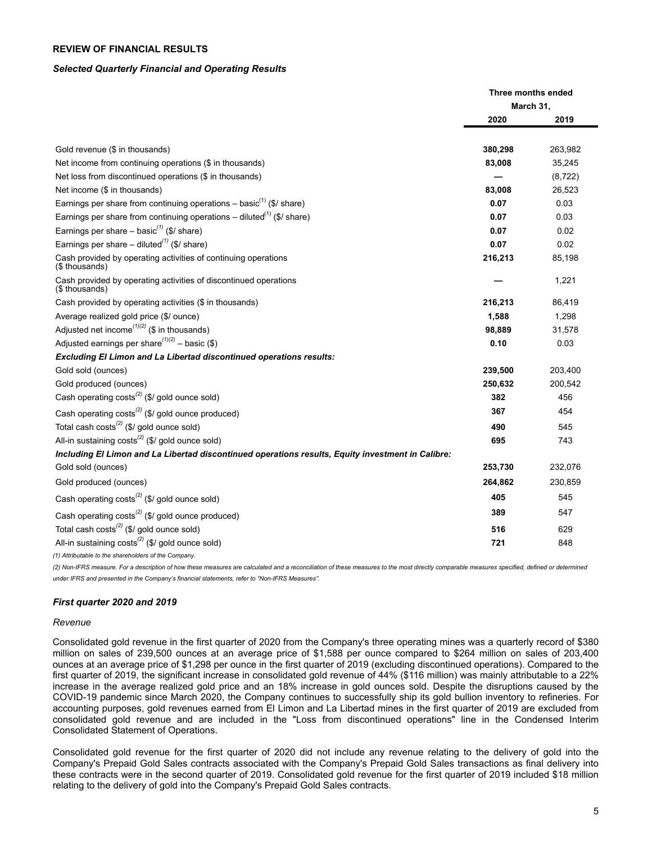# <span id="page-4-0"></span>**REVIEW OF FINANCIAL RESULTS**

#### *Selected Quarterly Financial and Operating Results*

|                                                                                                   | Three months ended<br>March 31, |          |
|---------------------------------------------------------------------------------------------------|---------------------------------|----------|
|                                                                                                   | 2020                            | 2019     |
| Gold revenue (\$ in thousands)                                                                    | 380,298                         | 263,982  |
| Net income from continuing operations (\$ in thousands)                                           | 83,008                          | 35,245   |
| Net loss from discontinued operations (\$ in thousands)                                           |                                 | (8, 722) |
| Net income (\$ in thousands)                                                                      | 83,008                          | 26,523   |
| Earnings per share from continuing operations – basic <sup>(1)</sup> (\$/ share)                  | 0.07                            | 0.03     |
| Earnings per share from continuing operations - diluted <sup>(1)</sup> (\$/ share)                | 0.07                            | 0.03     |
| Earnings per share – basic <sup>(1)</sup> (\$/ share)                                             | 0.07                            | 0.02     |
| Earnings per share – diluted <sup>(1)</sup> (\$/ share)                                           | 0.07                            | 0.02     |
| Cash provided by operating activities of continuing operations<br>(\$ thousands)                  | 216,213                         | 85,198   |
| Cash provided by operating activities of discontinued operations<br>(\$ thousands)                |                                 | 1,221    |
| Cash provided by operating activities (\$ in thousands)                                           | 216,213                         | 86,419   |
| Average realized gold price (\$/ ounce)                                                           | 1,588                           | 1,298    |
| Adiusted net income <sup><math>(1)(2)</math></sup> (\$ in thousands)                              | 98,889                          | 31,578   |
| Adjusted earnings per share $(1)(2)$ – basic (\$)                                                 | 0.10                            | 0.03     |
| Excluding El Limon and La Libertad discontinued operations results:                               |                                 |          |
| Gold sold (ounces)                                                                                | 239,500                         | 203,400  |
| Gold produced (ounces)                                                                            | 250,632                         | 200,542  |
| Cash operating costs <sup>(2)</sup> (\$/ gold ounce sold)                                         | 382                             | 456      |
| Cash operating $costs^{(2)}$ (\$/ gold ounce produced)                                            | 367                             | 454      |
| Total cash $costs^{(2)}$ (\$/ gold ounce sold)                                                    | 490                             | 545      |
| All-in sustaining costs <sup>(2)</sup> (\$/ gold ounce sold)                                      | 695                             | 743      |
| Including El Limon and La Libertad discontinued operations results, Equity investment in Calibre: |                                 |          |
| Gold sold (ounces)                                                                                | 253,730                         | 232,076  |
| Gold produced (ounces)                                                                            | 264,862                         | 230,859  |
| Cash operating $costs^{(2)}$ (\$/ gold ounce sold)                                                | 405                             | 545      |
| Cash operating costs <sup>(2)</sup> (\$/ gold ounce produced)                                     | 389                             | 547      |
| Total cash costs <sup>(2)</sup> (\$/ gold ounce sold)                                             | 516                             | 629      |
| All-in sustaining $costs^{(2)}$ (\$/ gold ounce sold)                                             | 721                             | 848      |

*(1) Attributable to the shareholders of the Company.*

(2) Non-IFRS measure. For a description of how these measures are calculated and a reconciliation of these measures to the most directly comparable measures specified, defined or determined *under IFRS and presented in the Company's financial statements, refer to "Non-IFRS Measures".*

#### *First quarter 2020 and 2019*

#### *Revenue*

Consolidated gold revenue in the first quarter of 2020 from the Company's three operating mines was a quarterly record of \$380 million on sales of 239,500 ounces at an average price of \$1,588 per ounce compared to \$264 million on sales of 203,400 ounces at an average price of \$1,298 per ounce in the first quarter of 2019 (excluding discontinued operations). Compared to the first quarter of 2019, the significant increase in consolidated gold revenue of 44% (\$116 million) was mainly attributable to a 22% increase in the average realized gold price and an 18% increase in gold ounces sold. Despite the disruptions caused by the COVID-19 pandemic since March 2020, the Company continues to successfully ship its gold bullion inventory to refineries. For accounting purposes, gold revenues earned from El Limon and La Libertad mines in the first quarter of 2019 are excluded from consolidated gold revenue and are included in the "Loss from discontinued operations" line in the Condensed Interim Consolidated Statement of Operations.

Consolidated gold revenue for the first quarter of 2020 did not include any revenue relating to the delivery of gold into the Company's Prepaid Gold Sales contracts associated with the Company's Prepaid Gold Sales transactions as final delivery into these contracts were in the second quarter of 2019. Consolidated gold revenue for the first quarter of 2019 included \$18 million relating to the delivery of gold into the Company's Prepaid Gold Sales contracts.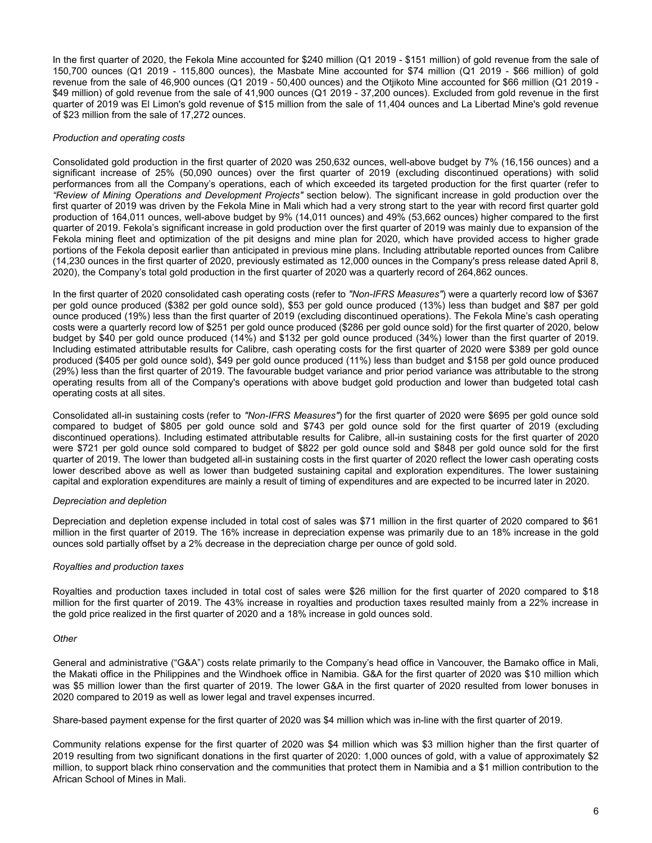In the first quarter of 2020, the Fekola Mine accounted for \$240 million (Q1 2019 - \$151 million) of gold revenue from the sale of 150,700 ounces (Q1 2019 - 115,800 ounces), the Masbate Mine accounted for \$74 million (Q1 2019 - \$66 million) of gold revenue from the sale of 46,900 ounces (Q1 2019 - 50,400 ounces) and the Otjikoto Mine accounted for \$66 million (Q1 2019 - \$49 million) of gold revenue from the sale of 41,900 ounces (Q1 2019 - 37,200 ounces). Excluded from gold revenue in the first quarter of 2019 was El Limon's gold revenue of \$15 million from the sale of 11,404 ounces and La Libertad Mine's gold revenue of \$23 million from the sale of 17,272 ounces.

# *Production and operating costs*

Consolidated gold production in the first quarter of 2020 was 250,632 ounces, well-above budget by 7% (16,156 ounces) and a significant increase of 25% (50,090 ounces) over the first quarter of 2019 (excluding discontinued operations) with solid performances from all the Company's operations, each of which exceeded its targeted production for the first quarter (refer to *"Review of Mining Operations and Development Projects"* section below). The significant increase in gold production over the first quarter of 2019 was driven by the Fekola Mine in Mali which had a very strong start to the year with record first quarter gold production of 164,011 ounces, well-above budget by 9% (14,011 ounces) and 49% (53,662 ounces) higher compared to the first quarter of 2019. Fekola's significant increase in gold production over the first quarter of 2019 was mainly due to expansion of the Fekola mining fleet and optimization of the pit designs and mine plan for 2020, which have provided access to higher grade portions of the Fekola deposit earlier than anticipated in previous mine plans. Including attributable reported ounces from Calibre (14,230 ounces in the first quarter of 2020, previously estimated as 12,000 ounces in the Company's press release dated April 8, 2020), the Company's total gold production in the first quarter of 2020 was a quarterly record of 264,862 ounces.

In the first quarter of 2020 consolidated cash operating costs (refer to *"Non-IFRS Measures"*) were a quarterly record low of \$367 per gold ounce produced (\$382 per gold ounce sold), \$53 per gold ounce produced (13%) less than budget and \$87 per gold ounce produced (19%) less than the first quarter of 2019 (excluding discontinued operations). The Fekola Mine's cash operating costs were a quarterly record low of \$251 per gold ounce produced (\$286 per gold ounce sold) for the first quarter of 2020, below budget by \$40 per gold ounce produced (14%) and \$132 per gold ounce produced (34%) lower than the first quarter of 2019. Including estimated attributable results for Calibre, cash operating costs for the first quarter of 2020 were \$389 per gold ounce produced (\$405 per gold ounce sold), \$49 per gold ounce produced (11%) less than budget and \$158 per gold ounce produced (29%) less than the first quarter of 2019. The favourable budget variance and prior period variance was attributable to the strong operating results from all of the Company's operations with above budget gold production and lower than budgeted total cash operating costs at all sites.

Consolidated all-in sustaining costs (refer to *"Non-IFRS Measures"*) for the first quarter of 2020 were \$695 per gold ounce sold compared to budget of \$805 per gold ounce sold and \$743 per gold ounce sold for the first quarter of 2019 (excluding discontinued operations). Including estimated attributable results for Calibre, all-in sustaining costs for the first quarter of 2020 were \$721 per gold ounce sold compared to budget of \$822 per gold ounce sold and \$848 per gold ounce sold for the first quarter of 2019. The lower than budgeted all-in sustaining costs in the first quarter of 2020 reflect the lower cash operating costs lower described above as well as lower than budgeted sustaining capital and exploration expenditures. The lower sustaining capital and exploration expenditures are mainly a result of timing of expenditures and are expected to be incurred later in 2020.

## *Depreciation and depletion*

Depreciation and depletion expense included in total cost of sales was \$71 million in the first quarter of 2020 compared to \$61 million in the first quarter of 2019. The 16% increase in depreciation expense was primarily due to an 18% increase in the gold ounces sold partially offset by a 2% decrease in the depreciation charge per ounce of gold sold.

## *Royalties and production taxes*

Royalties and production taxes included in total cost of sales were \$26 million for the first quarter of 2020 compared to \$18 million for the first quarter of 2019. The 43% increase in royalties and production taxes resulted mainly from a 22% increase in the gold price realized in the first quarter of 2020 and a 18% increase in gold ounces sold.

## *Other*

General and administrative ("G&A") costs relate primarily to the Company's head office in Vancouver, the Bamako office in Mali, the Makati office in the Philippines and the Windhoek office in Namibia. G&A for the first quarter of 2020 was \$10 million which was \$5 million lower than the first quarter of 2019. The lower G&A in the first quarter of 2020 resulted from lower bonuses in 2020 compared to 2019 as well as lower legal and travel expenses incurred.

Share-based payment expense for the first quarter of 2020 was \$4 million which was in-line with the first quarter of 2019.

Community relations expense for the first quarter of 2020 was \$4 million which was \$3 million higher than the first quarter of 2019 resulting from two significant donations in the first quarter of 2020: 1,000 ounces of gold, with a value of approximately \$2 million, to support black rhino conservation and the communities that protect them in Namibia and a \$1 million contribution to the African School of Mines in Mali.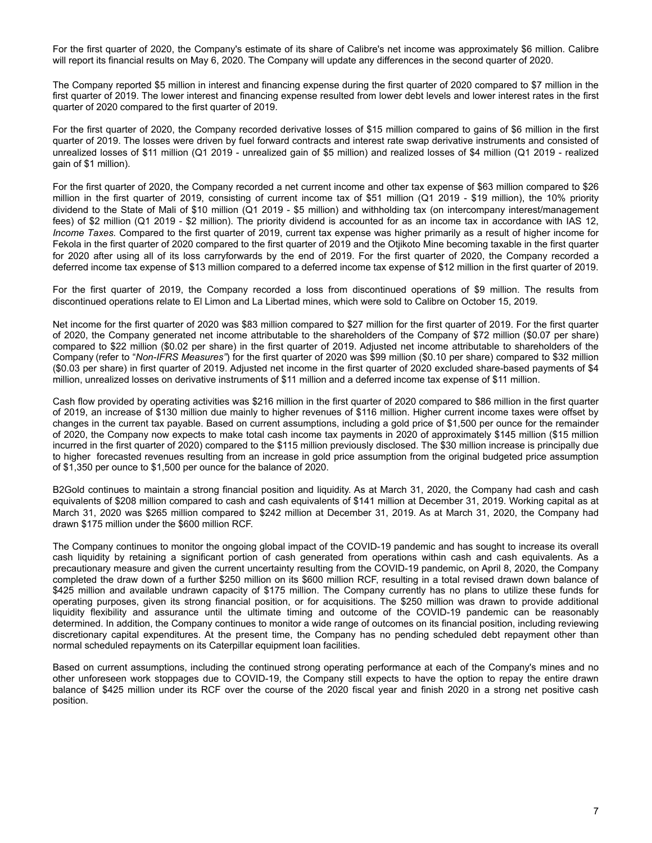For the first quarter of 2020, the Company's estimate of its share of Calibre's net income was approximately \$6 million. Calibre will report its financial results on May 6, 2020. The Company will update any differences in the second quarter of 2020.

The Company reported \$5 million in interest and financing expense during the first quarter of 2020 compared to \$7 million in the first quarter of 2019. The lower interest and financing expense resulted from lower debt levels and lower interest rates in the first quarter of 2020 compared to the first quarter of 2019.

For the first quarter of 2020, the Company recorded derivative losses of \$15 million compared to gains of \$6 million in the first quarter of 2019. The losses were driven by fuel forward contracts and interest rate swap derivative instruments and consisted of unrealized losses of \$11 million (Q1 2019 - unrealized gain of \$5 million) and realized losses of \$4 million (Q1 2019 - realized gain of \$1 million).

For the first quarter of 2020, the Company recorded a net current income and other tax expense of \$63 million compared to \$26 million in the first quarter of 2019, consisting of current income tax of \$51 million (Q1 2019 - \$19 million), the 10% priority dividend to the State of Mali of \$10 million (Q1 2019 - \$5 million) and withholding tax (on intercompany interest/management fees) of \$2 million (Q1 2019 - \$2 million). The priority dividend is accounted for as an income tax in accordance with IAS 12, *Income Taxes.* Compared to the first quarter of 2019, current tax expense was higher primarily as a result of higher income for Fekola in the first quarter of 2020 compared to the first quarter of 2019 and the Otjikoto Mine becoming taxable in the first quarter for 2020 after using all of its loss carryforwards by the end of 2019. For the first quarter of 2020, the Company recorded a deferred income tax expense of \$13 million compared to a deferred income tax expense of \$12 million in the first quarter of 2019.

For the first quarter of 2019, the Company recorded a loss from discontinued operations of \$9 million. The results from discontinued operations relate to El Limon and La Libertad mines, which were sold to Calibre on October 15, 2019.

Net income for the first quarter of 2020 was \$83 million compared to \$27 million for the first quarter of 2019. For the first quarter of 2020, the Company generated net income attributable to the shareholders of the Company of \$72 million (\$0.07 per share) compared to \$22 million (\$0.02 per share) in the first quarter of 2019. Adjusted net income attributable to shareholders of the Company (refer to "*Non-IFRS Measures"*) for the first quarter of 2020 was \$99 million (\$0.10 per share) compared to \$32 million (\$0.03 per share) in first quarter of 2019. Adjusted net income in the first quarter of 2020 excluded share-based payments of \$4 million, unrealized losses on derivative instruments of \$11 million and a deferred income tax expense of \$11 million.

Cash flow provided by operating activities was \$216 million in the first quarter of 2020 compared to \$86 million in the first quarter of 2019, an increase of \$130 million due mainly to higher revenues of \$116 million. Higher current income taxes were offset by changes in the current tax payable. Based on current assumptions, including a gold price of \$1,500 per ounce for the remainder of 2020, the Company now expects to make total cash income tax payments in 2020 of approximately \$145 million (\$15 million incurred in the first quarter of 2020) compared to the \$115 million previously disclosed. The \$30 million increase is principally due to higher forecasted revenues resulting from an increase in gold price assumption from the original budgeted price assumption of \$1,350 per ounce to \$1,500 per ounce for the balance of 2020.

B2Gold continues to maintain a strong financial position and liquidity. As at March 31, 2020, the Company had cash and cash equivalents of \$208 million compared to cash and cash equivalents of \$141 million at December 31, 2019. Working capital as at March 31, 2020 was \$265 million compared to \$242 million at December 31, 2019. As at March 31, 2020, the Company had drawn \$175 million under the \$600 million RCF.

The Company continues to monitor the ongoing global impact of the COVID-19 pandemic and has sought to increase its overall cash liquidity by retaining a significant portion of cash generated from operations within cash and cash equivalents. As a precautionary measure and given the current uncertainty resulting from the COVID-19 pandemic, on April 8, 2020, the Company completed the draw down of a further \$250 million on its \$600 million RCF, resulting in a total revised drawn down balance of \$425 million and available undrawn capacity of \$175 million. The Company currently has no plans to utilize these funds for operating purposes, given its strong financial position, or for acquisitions. The \$250 million was drawn to provide additional liquidity flexibility and assurance until the ultimate timing and outcome of the COVID-19 pandemic can be reasonably determined. In addition, the Company continues to monitor a wide range of outcomes on its financial position, including reviewing discretionary capital expenditures. At the present time, the Company has no pending scheduled debt repayment other than normal scheduled repayments on its Caterpillar equipment loan facilities.

Based on current assumptions, including the continued strong operating performance at each of the Company's mines and no other unforeseen work stoppages due to COVID-19, the Company still expects to have the option to repay the entire drawn balance of \$425 million under its RCF over the course of the 2020 fiscal year and finish 2020 in a strong net positive cash position.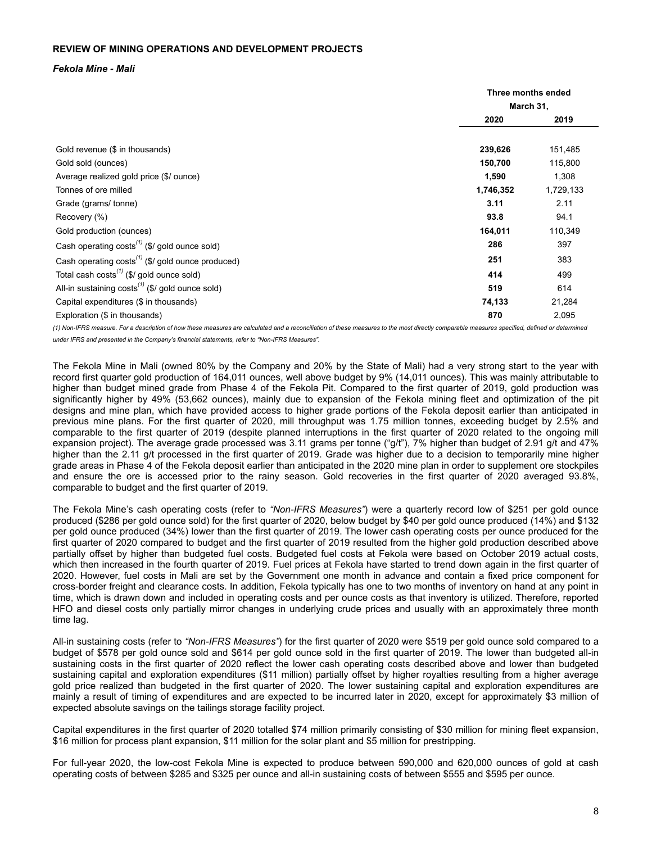# <span id="page-7-0"></span>**REVIEW OF MINING OPERATIONS AND DEVELOPMENT PROJECTS**

#### *Fekola Mine - Mali*

|                                                                    | Three months ended |           |  |
|--------------------------------------------------------------------|--------------------|-----------|--|
|                                                                    | March 31,          |           |  |
|                                                                    | 2020               | 2019      |  |
|                                                                    |                    |           |  |
| Gold revenue (\$ in thousands)                                     | 239,626            | 151,485   |  |
| Gold sold (ounces)                                                 | 150,700            | 115,800   |  |
| Average realized gold price (\$/ ounce)                            | 1,590              | 1,308     |  |
| Tonnes of ore milled                                               | 1,746,352          | 1,729,133 |  |
| Grade (grams/ tonne)                                               | 3.11               | 2.11      |  |
| Recovery (%)                                                       | 93.8               | 94.1      |  |
| Gold production (ounces)                                           | 164,011            | 110,349   |  |
| Cash operating $costs^{(1)}$ (\$/ gold ounce sold)                 | 286                | 397       |  |
| Cash operating $costs^{(1)}$ (\$/ gold ounce produced)             | 251                | 383       |  |
| Total cash costs <sup><math>(1)</math></sup> (\$/ gold ounce sold) | 414                | 499       |  |
| All-in sustaining $cost^{(1)}$ (\$/ gold ounce sold)               | 519                | 614       |  |
| Capital expenditures (\$ in thousands)                             | 74,133             | 21,284    |  |
| Exploration (\$ in thousands)                                      | 870                | 2,095     |  |

(1) Non-IFRS measure. For a description of how these measures are calculated and a reconciliation of these measures to the most directly comparable measures specified, defined or determined *under IFRS and presented in the Company's financial statements, refer to "Non-IFRS Measures".*

The Fekola Mine in Mali (owned 80% by the Company and 20% by the State of Mali) had a very strong start to the year with record first quarter gold production of 164,011 ounces, well above budget by 9% (14,011 ounces). This was mainly attributable to higher than budget mined grade from Phase 4 of the Fekola Pit. Compared to the first quarter of 2019, gold production was significantly higher by 49% (53,662 ounces), mainly due to expansion of the Fekola mining fleet and optimization of the pit designs and mine plan, which have provided access to higher grade portions of the Fekola deposit earlier than anticipated in previous mine plans. For the first quarter of 2020, mill throughput was 1.75 million tonnes, exceeding budget by 2.5% and comparable to the first quarter of 2019 (despite planned interruptions in the first quarter of 2020 related to the ongoing mill expansion project). The average grade processed was 3.11 grams per tonne ("g/t"), 7% higher than budget of 2.91 g/t and 47% higher than the 2.11 g/t processed in the first quarter of 2019. Grade was higher due to a decision to temporarily mine higher grade areas in Phase 4 of the Fekola deposit earlier than anticipated in the 2020 mine plan in order to supplement ore stockpiles and ensure the ore is accessed prior to the rainy season. Gold recoveries in the first quarter of 2020 averaged 93.8%, comparable to budget and the first quarter of 2019.

The Fekola Mine's cash operating costs (refer to *"Non-IFRS Measures"*) were a quarterly record low of \$251 per gold ounce produced (\$286 per gold ounce sold) for the first quarter of 2020, below budget by \$40 per gold ounce produced (14%) and \$132 per gold ounce produced (34%) lower than the first quarter of 2019. The lower cash operating costs per ounce produced for the first quarter of 2020 compared to budget and the first quarter of 2019 resulted from the higher gold production described above partially offset by higher than budgeted fuel costs. Budgeted fuel costs at Fekola were based on October 2019 actual costs, which then increased in the fourth quarter of 2019. Fuel prices at Fekola have started to trend down again in the first quarter of 2020. However, fuel costs in Mali are set by the Government one month in advance and contain a fixed price component for cross-border freight and clearance costs. In addition, Fekola typically has one to two months of inventory on hand at any point in time, which is drawn down and included in operating costs and per ounce costs as that inventory is utilized. Therefore, reported HFO and diesel costs only partially mirror changes in underlying crude prices and usually with an approximately three month time lag.

All-in sustaining costs (refer to *"Non-IFRS Measures"*) for the first quarter of 2020 were \$519 per gold ounce sold compared to a budget of \$578 per gold ounce sold and \$614 per gold ounce sold in the first quarter of 2019. The lower than budgeted all-in sustaining costs in the first quarter of 2020 reflect the lower cash operating costs described above and lower than budgeted sustaining capital and exploration expenditures (\$11 million) partially offset by higher royalties resulting from a higher average gold price realized than budgeted in the first quarter of 2020. The lower sustaining capital and exploration expenditures are mainly a result of timing of expenditures and are expected to be incurred later in 2020, except for approximately \$3 million of expected absolute savings on the tailings storage facility project.

Capital expenditures in the first quarter of 2020 totalled \$74 million primarily consisting of \$30 million for mining fleet expansion, \$16 million for process plant expansion, \$11 million for the solar plant and \$5 million for prestripping.

For full-year 2020, the low-cost Fekola Mine is expected to produce between 590,000 and 620,000 ounces of gold at cash operating costs of between \$285 and \$325 per ounce and all-in sustaining costs of between \$555 and \$595 per ounce.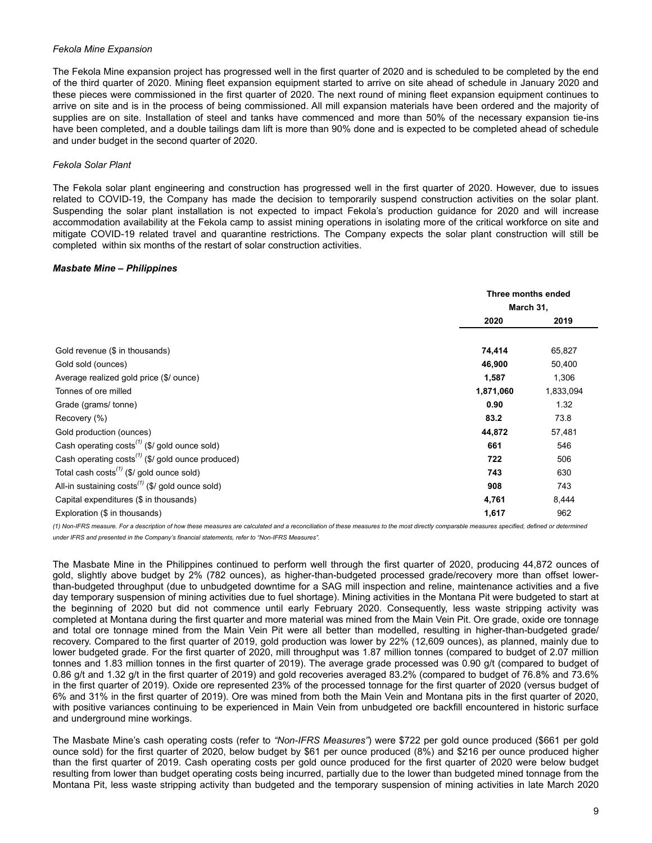#### *Fekola Mine Expansion*

The Fekola Mine expansion project has progressed well in the first quarter of 2020 and is scheduled to be completed by the end of the third quarter of 2020. Mining fleet expansion equipment started to arrive on site ahead of schedule in January 2020 and these pieces were commissioned in the first quarter of 2020. The next round of mining fleet expansion equipment continues to arrive on site and is in the process of being commissioned. All mill expansion materials have been ordered and the majority of supplies are on site. Installation of steel and tanks have commenced and more than 50% of the necessary expansion tie-ins have been completed, and a double tailings dam lift is more than 90% done and is expected to be completed ahead of schedule and under budget in the second quarter of 2020.

#### *Fekola Solar Plant*

The Fekola solar plant engineering and construction has progressed well in the first quarter of 2020. However, due to issues related to COVID-19, the Company has made the decision to temporarily suspend construction activities on the solar plant. Suspending the solar plant installation is not expected to impact Fekola's production guidance for 2020 and will increase accommodation availability at the Fekola camp to assist mining operations in isolating more of the critical workforce on site and mitigate COVID-19 related travel and quarantine restrictions. The Company expects the solar plant construction will still be completed within six months of the restart of solar construction activities.

#### *Masbate Mine – Philippines*

|                                                        | Three months ended |           |
|--------------------------------------------------------|--------------------|-----------|
|                                                        | March 31,          |           |
|                                                        | 2020               | 2019      |
|                                                        |                    |           |
| Gold revenue (\$ in thousands)                         | 74,414             | 65,827    |
| Gold sold (ounces)                                     | 46,900             | 50,400    |
| Average realized gold price (\$/ ounce)                | 1,587              | 1,306     |
| Tonnes of ore milled                                   | 1,871,060          | 1,833,094 |
| Grade (grams/tonne)                                    | 0.90               | 1.32      |
| Recovery (%)                                           | 83.2               | 73.8      |
| Gold production (ounces)                               | 44,872             | 57,481    |
| Cash operating $costs^{(1)}$ (\$/ gold ounce sold)     | 661                | 546       |
| Cash operating $costs^{(1)}$ (\$/ gold ounce produced) | 722                | 506       |
| Total cash $costs^{(1)}$ (\$/ gold ounce sold)         | 743                | 630       |
| All-in sustaining $costs^{(1)}$ (\$/ gold ounce sold)  | 908                | 743       |
| Capital expenditures (\$ in thousands)                 | 4,761              | 8,444     |
| Exploration (\$ in thousands)                          | 1,617              | 962       |

(1) Non-IFRS measure, For a description of how these measures are calculated and a reconciliation of these measures to the most directly comparable measures specified, defined or determined *under IFRS and presented in the Company's financial statements, refer to "Non-IFRS Measures".*

The Masbate Mine in the Philippines continued to perform well through the first quarter of 2020, producing 44,872 ounces of gold, slightly above budget by 2% (782 ounces), as higher-than-budgeted processed grade/recovery more than offset lowerthan-budgeted throughput (due to unbudgeted downtime for a SAG mill inspection and reline, maintenance activities and a five day temporary suspension of mining activities due to fuel shortage). Mining activities in the Montana Pit were budgeted to start at the beginning of 2020 but did not commence until early February 2020. Consequently, less waste stripping activity was completed at Montana during the first quarter and more material was mined from the Main Vein Pit. Ore grade, oxide ore tonnage and total ore tonnage mined from the Main Vein Pit were all better than modelled, resulting in higher-than-budgeted grade/ recovery. Compared to the first quarter of 2019, gold production was lower by 22% (12,609 ounces), as planned, mainly due to lower budgeted grade. For the first quarter of 2020, mill throughput was 1.87 million tonnes (compared to budget of 2.07 million tonnes and 1.83 million tonnes in the first quarter of 2019). The average grade processed was 0.90 g/t (compared to budget of 0.86 g/t and 1.32 g/t in the first quarter of 2019) and gold recoveries averaged 83.2% (compared to budget of 76.8% and 73.6% in the first quarter of 2019). Oxide ore represented 23% of the processed tonnage for the first quarter of 2020 (versus budget of 6% and 31% in the first quarter of 2019). Ore was mined from both the Main Vein and Montana pits in the first quarter of 2020, with positive variances continuing to be experienced in Main Vein from unbudgeted ore backfill encountered in historic surface and underground mine workings.

The Masbate Mine's cash operating costs (refer to *"Non-IFRS Measures"*) were \$722 per gold ounce produced (\$661 per gold ounce sold) for the first quarter of 2020, below budget by \$61 per ounce produced (8%) and \$216 per ounce produced higher than the first quarter of 2019. Cash operating costs per gold ounce produced for the first quarter of 2020 were below budget resulting from lower than budget operating costs being incurred, partially due to the lower than budgeted mined tonnage from the Montana Pit, less waste stripping activity than budgeted and the temporary suspension of mining activities in late March 2020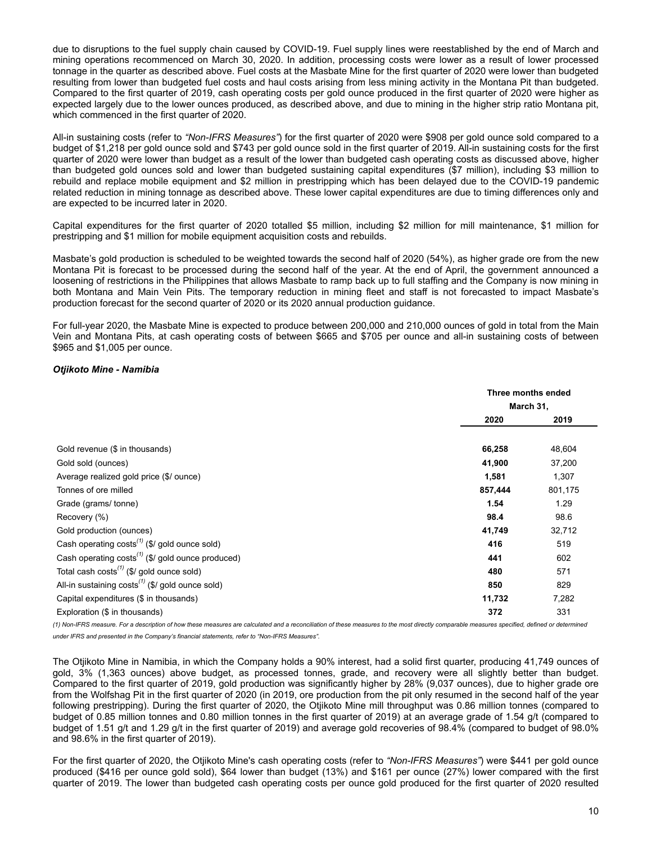due to disruptions to the fuel supply chain caused by COVID-19. Fuel supply lines were reestablished by the end of March and mining operations recommenced on March 30, 2020. In addition, processing costs were lower as a result of lower processed tonnage in the quarter as described above. Fuel costs at the Masbate Mine for the first quarter of 2020 were lower than budgeted resulting from lower than budgeted fuel costs and haul costs arising from less mining activity in the Montana Pit than budgeted. Compared to the first quarter of 2019, cash operating costs per gold ounce produced in the first quarter of 2020 were higher as expected largely due to the lower ounces produced, as described above, and due to mining in the higher strip ratio Montana pit, which commenced in the first quarter of 2020.

All-in sustaining costs (refer to *"Non-IFRS Measures"*) for the first quarter of 2020 were \$908 per gold ounce sold compared to a budget of \$1,218 per gold ounce sold and \$743 per gold ounce sold in the first quarter of 2019. All-in sustaining costs for the first quarter of 2020 were lower than budget as a result of the lower than budgeted cash operating costs as discussed above, higher than budgeted gold ounces sold and lower than budgeted sustaining capital expenditures (\$7 million), including \$3 million to rebuild and replace mobile equipment and \$2 million in prestripping which has been delayed due to the COVID-19 pandemic related reduction in mining tonnage as described above. These lower capital expenditures are due to timing differences only and are expected to be incurred later in 2020.

Capital expenditures for the first quarter of 2020 totalled \$5 million, including \$2 million for mill maintenance, \$1 million for prestripping and \$1 million for mobile equipment acquisition costs and rebuilds.

Masbate's gold production is scheduled to be weighted towards the second half of 2020 (54%), as higher grade ore from the new Montana Pit is forecast to be processed during the second half of the year. At the end of April, the government announced a loosening of restrictions in the Philippines that allows Masbate to ramp back up to full staffing and the Company is now mining in both Montana and Main Vein Pits. The temporary reduction in mining fleet and staff is not forecasted to impact Masbate's production forecast for the second quarter of 2020 or its 2020 annual production guidance.

For full-year 2020, the Masbate Mine is expected to produce between 200,000 and 210,000 ounces of gold in total from the Main Vein and Montana Pits, at cash operating costs of between \$665 and \$705 per ounce and all-in sustaining costs of between \$965 and \$1,005 per ounce.

# *Otjikoto Mine - Namibia*

|                                                               | Three months ended |         |  |
|---------------------------------------------------------------|--------------------|---------|--|
|                                                               | March 31,          |         |  |
|                                                               | 2020               | 2019    |  |
|                                                               |                    |         |  |
| Gold revenue (\$ in thousands)                                | 66,258             | 48,604  |  |
| Gold sold (ounces)                                            | 41,900             | 37,200  |  |
| Average realized gold price (\$/ ounce)                       | 1,581              | 1,307   |  |
| Tonnes of ore milled                                          | 857,444            | 801,175 |  |
| Grade (grams/ tonne)                                          | 1.54               | 1.29    |  |
| Recovery (%)                                                  | 98.4               | 98.6    |  |
| Gold production (ounces)                                      | 41,749             | 32,712  |  |
| Cash operating $costs^{(1)}$ (\$/ gold ounce sold)            | 416                | 519     |  |
| Cash operating costs <sup>(1)</sup> (\$/ gold ounce produced) | 441                | 602     |  |
| Total cash $costs^{(1)}$ (\$/ gold ounce sold)                | 480                | 571     |  |
| All-in sustaining $costs^{(1)}$ (\$/ gold ounce sold)         | 850                | 829     |  |
| Capital expenditures (\$ in thousands)                        | 11,732             | 7,282   |  |
| Exploration (\$ in thousands)                                 | 372                | 331     |  |

(1) Non-IFRS measure. For a description of how these measures are calculated and a reconciliation of these measures to the most directly comparable measures specified, defined or determined *under IFRS and presented in the Company's financial statements, refer to "Non-IFRS Measures".*

The Otjikoto Mine in Namibia, in which the Company holds a 90% interest, had a solid first quarter, producing 41,749 ounces of gold, 3% (1,363 ounces) above budget, as processed tonnes, grade, and recovery were all slightly better than budget. Compared to the first quarter of 2019, gold production was significantly higher by 28% (9,037 ounces), due to higher grade ore from the Wolfshag Pit in the first quarter of 2020 (in 2019, ore production from the pit only resumed in the second half of the year following prestripping). During the first quarter of 2020, the Otjikoto Mine mill throughput was 0.86 million tonnes (compared to budget of 0.85 million tonnes and 0.80 million tonnes in the first quarter of 2019) at an average grade of 1.54 g/t (compared to budget of 1.51 g/t and 1.29 g/t in the first quarter of 2019) and average gold recoveries of 98.4% (compared to budget of 98.0% and 98.6% in the first quarter of 2019).

For the first quarter of 2020, the Otjikoto Mine's cash operating costs (refer to *"Non-IFRS Measures"*) were \$441 per gold ounce produced (\$416 per ounce gold sold), \$64 lower than budget (13%) and \$161 per ounce (27%) lower compared with the first quarter of 2019. The lower than budgeted cash operating costs per ounce gold produced for the first quarter of 2020 resulted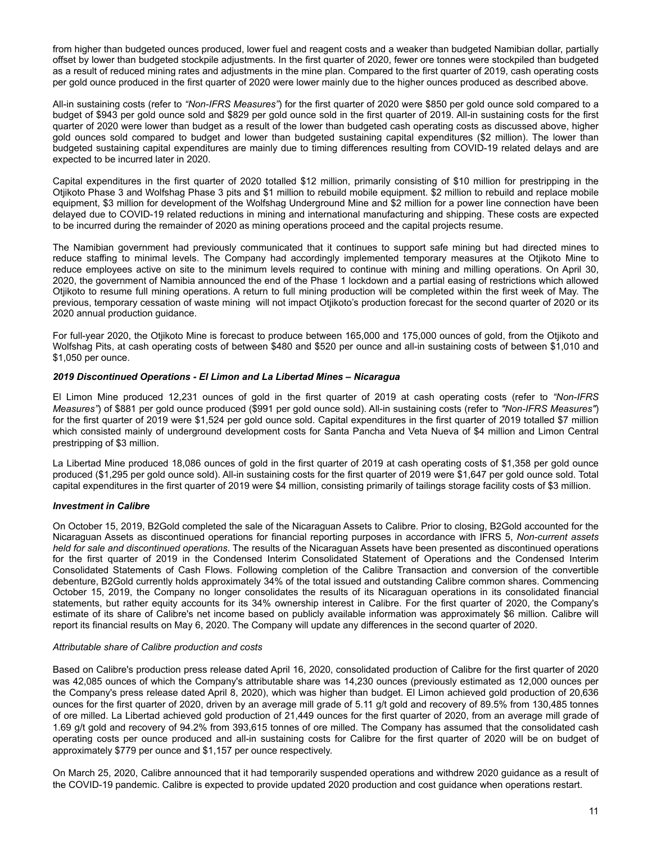from higher than budgeted ounces produced, lower fuel and reagent costs and a weaker than budgeted Namibian dollar, partially offset by lower than budgeted stockpile adjustments. In the first quarter of 2020, fewer ore tonnes were stockpiled than budgeted as a result of reduced mining rates and adjustments in the mine plan. Compared to the first quarter of 2019, cash operating costs per gold ounce produced in the first quarter of 2020 were lower mainly due to the higher ounces produced as described above.

All-in sustaining costs (refer to *"Non-IFRS Measures"*) for the first quarter of 2020 were \$850 per gold ounce sold compared to a budget of \$943 per gold ounce sold and \$829 per gold ounce sold in the first quarter of 2019. All-in sustaining costs for the first quarter of 2020 were lower than budget as a result of the lower than budgeted cash operating costs as discussed above, higher gold ounces sold compared to budget and lower than budgeted sustaining capital expenditures (\$2 million). The lower than budgeted sustaining capital expenditures are mainly due to timing differences resulting from COVID-19 related delays and are expected to be incurred later in 2020.

Capital expenditures in the first quarter of 2020 totalled \$12 million, primarily consisting of \$10 million for prestripping in the Otjikoto Phase 3 and Wolfshag Phase 3 pits and \$1 million to rebuild mobile equipment. \$2 million to rebuild and replace mobile equipment, \$3 million for development of the Wolfshag Underground Mine and \$2 million for a power line connection have been delayed due to COVID-19 related reductions in mining and international manufacturing and shipping. These costs are expected to be incurred during the remainder of 2020 as mining operations proceed and the capital projects resume.

The Namibian government had previously communicated that it continues to support safe mining but had directed mines to reduce staffing to minimal levels. The Company had accordingly implemented temporary measures at the Otjikoto Mine to reduce employees active on site to the minimum levels required to continue with mining and milling operations. On April 30, 2020, the government of Namibia announced the end of the Phase 1 lockdown and a partial easing of restrictions which allowed Otjikoto to resume full mining operations. A return to full mining production will be completed within the first week of May. The previous, temporary cessation of waste mining will not impact Otjikoto's production forecast for the second quarter of 2020 or its 2020 annual production guidance.

For full-year 2020, the Otjikoto Mine is forecast to produce between 165,000 and 175,000 ounces of gold, from the Otjikoto and Wolfshag Pits, at cash operating costs of between \$480 and \$520 per ounce and all-in sustaining costs of between \$1,010 and \$1,050 per ounce.

## *2019 Discontinued Operations - El Limon and La Libertad Mines – Nicaragua*

El Limon Mine produced 12,231 ounces of gold in the first quarter of 2019 at cash operating costs (refer to *"Non-IFRS Measures"*) of \$881 per gold ounce produced (\$991 per gold ounce sold). All-in sustaining costs (refer to *"Non-IFRS Measures"*) for the first quarter of 2019 were \$1,524 per gold ounce sold. Capital expenditures in the first quarter of 2019 totalled \$7 million which consisted mainly of underground development costs for Santa Pancha and Veta Nueva of \$4 million and Limon Central prestripping of \$3 million.

La Libertad Mine produced 18,086 ounces of gold in the first quarter of 2019 at cash operating costs of \$1,358 per gold ounce produced (\$1,295 per gold ounce sold). All-in sustaining costs for the first quarter of 2019 were \$1,647 per gold ounce sold. Total capital expenditures in the first quarter of 2019 were \$4 million, consisting primarily of tailings storage facility costs of \$3 million.

# *Investment in Calibre*

On October 15, 2019, B2Gold completed the sale of the Nicaraguan Assets to Calibre. Prior to closing, B2Gold accounted for the Nicaraguan Assets as discontinued operations for financial reporting purposes in accordance with IFRS 5, *Non-current assets held for sale and discontinued operations*. The results of the Nicaraguan Assets have been presented as discontinued operations for the first quarter of 2019 in the Condensed Interim Consolidated Statement of Operations and the Condensed Interim Consolidated Statements of Cash Flows. Following completion of the Calibre Transaction and conversion of the convertible debenture, B2Gold currently holds approximately 34% of the total issued and outstanding Calibre common shares. Commencing October 15, 2019, the Company no longer consolidates the results of its Nicaraguan operations in its consolidated financial statements, but rather equity accounts for its 34% ownership interest in Calibre. For the first quarter of 2020, the Company's estimate of its share of Calibre's net income based on publicly available information was approximately \$6 million. Calibre will report its financial results on May 6, 2020. The Company will update any differences in the second quarter of 2020.

## *Attributable share of Calibre production and costs*

Based on Calibre's production press release dated April 16, 2020, consolidated production of Calibre for the first quarter of 2020 was 42,085 ounces of which the Company's attributable share was 14,230 ounces (previously estimated as 12,000 ounces per the Company's press release dated April 8, 2020), which was higher than budget. El Limon achieved gold production of 20,636 ounces for the first quarter of 2020, driven by an average mill grade of 5.11 g/t gold and recovery of 89.5% from 130,485 tonnes of ore milled. La Libertad achieved gold production of 21,449 ounces for the first quarter of 2020, from an average mill grade of 1.69 g/t gold and recovery of 94.2% from 393,615 tonnes of ore milled. The Company has assumed that the consolidated cash operating costs per ounce produced and all-in sustaining costs for Calibre for the first quarter of 2020 will be on budget of approximately \$779 per ounce and \$1,157 per ounce respectively.

On March 25, 2020, Calibre announced that it had temporarily suspended operations and withdrew 2020 guidance as a result of the COVID-19 pandemic. Calibre is expected to provide updated 2020 production and cost guidance when operations restart.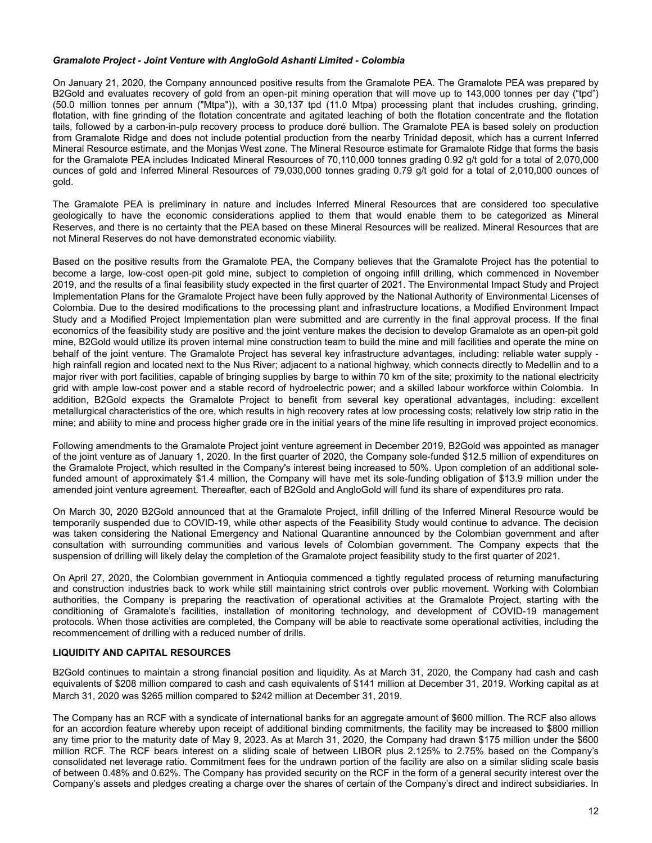## <span id="page-11-0"></span>*Gramalote Project - Joint Venture with AngloGold Ashanti Limited - Colombia*

On January 21, 2020, the Company announced positive results from the Gramalote PEA. The Gramalote PEA was prepared by B2Gold and evaluates recovery of gold from an open-pit mining operation that will move up to 143,000 tonnes per day ("tpd") (50.0 million tonnes per annum ("Mtpa")), with a 30,137 tpd (11.0 Mtpa) processing plant that includes crushing, grinding, flotation, with fine grinding of the flotation concentrate and agitated leaching of both the flotation concentrate and the flotation tails, followed by a carbon-in-pulp recovery process to produce doré bullion. The Gramalote PEA is based solely on production from Gramalote Ridge and does not include potential production from the nearby Trinidad deposit, which has a current Inferred Mineral Resource estimate, and the Monjas West zone. The Mineral Resource estimate for Gramalote Ridge that forms the basis for the Gramalote PEA includes Indicated Mineral Resources of 70,110,000 tonnes grading 0.92 g/t gold for a total of 2,070,000 ounces of gold and Inferred Mineral Resources of 79,030,000 tonnes grading 0.79 g/t gold for a total of 2,010,000 ounces of gold.

The Gramalote PEA is preliminary in nature and includes Inferred Mineral Resources that are considered too speculative geologically to have the economic considerations applied to them that would enable them to be categorized as Mineral Reserves, and there is no certainty that the PEA based on these Mineral Resources will be realized. Mineral Resources that are not Mineral Reserves do not have demonstrated economic viability.

Based on the positive results from the Gramalote PEA, the Company believes that the Gramalote Project has the potential to become a large, low-cost open-pit gold mine, subject to completion of ongoing infill drilling, which commenced in November 2019, and the results of a final feasibility study expected in the first quarter of 2021. The Environmental Impact Study and Project Implementation Plans for the Gramalote Project have been fully approved by the National Authority of Environmental Licenses of Colombia. Due to the desired modifications to the processing plant and infrastructure locations, a Modified Environment Impact Study and a Modified Project Implementation plan were submitted and are currently in the final approval process. If the final economics of the feasibility study are positive and the joint venture makes the decision to develop Gramalote as an open-pit gold mine, B2Gold would utilize its proven internal mine construction team to build the mine and mill facilities and operate the mine on behalf of the joint venture. The Gramalote Project has several key infrastructure advantages, including: reliable water supply high rainfall region and located next to the Nus River; adjacent to a national highway, which connects directly to Medellin and to a major river with port facilities, capable of bringing supplies by barge to within 70 km of the site; proximity to the national electricity grid with ample low-cost power and a stable record of hydroelectric power; and a skilled labour workforce within Colombia. In addition, B2Gold expects the Gramalote Project to benefit from several key operational advantages, including: excellent metallurgical characteristics of the ore, which results in high recovery rates at low processing costs; relatively low strip ratio in the mine; and ability to mine and process higher grade ore in the initial years of the mine life resulting in improved project economics.

Following amendments to the Gramalote Project joint venture agreement in December 2019, B2Gold was appointed as manager of the joint venture as of January 1, 2020. In the first quarter of 2020, the Company sole-funded \$12.5 million of expenditures on the Gramalote Project, which resulted in the Company's interest being increased to 50%. Upon completion of an additional solefunded amount of approximately \$1.4 million, the Company will have met its sole-funding obligation of \$13.9 million under the amended joint venture agreement. Thereafter, each of B2Gold and AngloGold will fund its share of expenditures pro rata.

On March 30, 2020 B2Gold announced that at the Gramalote Project, infill drilling of the Inferred Mineral Resource would be temporarily suspended due to COVID-19, while other aspects of the Feasibility Study would continue to advance. The decision was taken considering the National Emergency and National Quarantine announced by the Colombian government and after consultation with surrounding communities and various levels of Colombian government. The Company expects that the suspension of drilling will likely delay the completion of the Gramalote project feasibility study to the first quarter of 2021.

On April 27, 2020, the Colombian government in Antioquia commenced a tightly regulated process of returning manufacturing and construction industries back to work while still maintaining strict controls over public movement. Working with Colombian authorities, the Company is preparing the reactivation of operational activities at the Gramalote Project, starting with the conditioning of Gramalote's facilities, installation of monitoring technology, and development of COVID-19 management protocols. When those activities are completed, the Company will be able to reactivate some operational activities, including the recommencement of drilling with a reduced number of drills.

# **LIQUIDITY AND CAPITAL RESOURCES**

B2Gold continues to maintain a strong financial position and liquidity. As at March 31, 2020, the Company had cash and cash equivalents of \$208 million compared to cash and cash equivalents of \$141 million at December 31, 2019. Working capital as at March 31, 2020 was \$265 million compared to \$242 million at December 31, 2019.

The Company has an RCF with a syndicate of international banks for an aggregate amount of \$600 million. The RCF also allows for an accordion feature whereby upon receipt of additional binding commitments, the facility may be increased to \$800 million any time prior to the maturity date of May 9, 2023. As at March 31, 2020, the Company had drawn \$175 million under the \$600 million RCF. The RCF bears interest on a sliding scale of between LIBOR plus 2.125% to 2.75% based on the Company's consolidated net leverage ratio. Commitment fees for the undrawn portion of the facility are also on a similar sliding scale basis of between 0.48% and 0.62%. The Company has provided security on the RCF in the form of a general security interest over the Company's assets and pledges creating a charge over the shares of certain of the Company's direct and indirect subsidiaries. In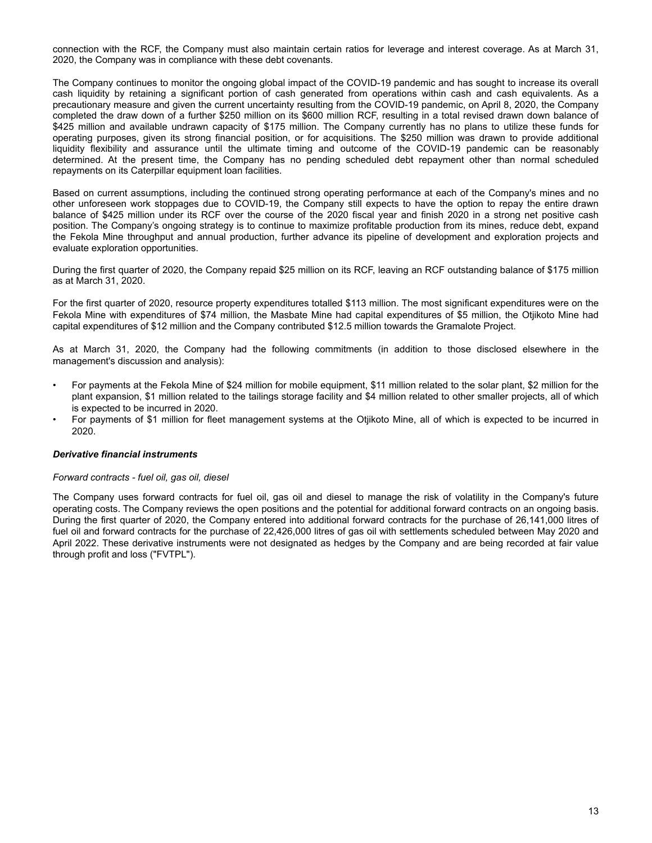connection with the RCF, the Company must also maintain certain ratios for leverage and interest coverage. As at March 31, 2020, the Company was in compliance with these debt covenants.

The Company continues to monitor the ongoing global impact of the COVID-19 pandemic and has sought to increase its overall cash liquidity by retaining a significant portion of cash generated from operations within cash and cash equivalents. As a precautionary measure and given the current uncertainty resulting from the COVID-19 pandemic, on April 8, 2020, the Company completed the draw down of a further \$250 million on its \$600 million RCF, resulting in a total revised drawn down balance of \$425 million and available undrawn capacity of \$175 million. The Company currently has no plans to utilize these funds for operating purposes, given its strong financial position, or for acquisitions. The \$250 million was drawn to provide additional liquidity flexibility and assurance until the ultimate timing and outcome of the COVID-19 pandemic can be reasonably determined. At the present time, the Company has no pending scheduled debt repayment other than normal scheduled repayments on its Caterpillar equipment loan facilities.

Based on current assumptions, including the continued strong operating performance at each of the Company's mines and no other unforeseen work stoppages due to COVID-19, the Company still expects to have the option to repay the entire drawn balance of \$425 million under its RCF over the course of the 2020 fiscal year and finish 2020 in a strong net positive cash position. The Company's ongoing strategy is to continue to maximize profitable production from its mines, reduce debt, expand the Fekola Mine throughput and annual production, further advance its pipeline of development and exploration projects and evaluate exploration opportunities.

During the first quarter of 2020, the Company repaid \$25 million on its RCF, leaving an RCF outstanding balance of \$175 million as at March 31, 2020.

For the first quarter of 2020, resource property expenditures totalled \$113 million. The most significant expenditures were on the Fekola Mine with expenditures of \$74 million, the Masbate Mine had capital expenditures of \$5 million, the Otjikoto Mine had capital expenditures of \$12 million and the Company contributed \$12.5 million towards the Gramalote Project.

As at March 31, 2020, the Company had the following commitments (in addition to those disclosed elsewhere in the management's discussion and analysis):

- For payments at the Fekola Mine of \$24 million for mobile equipment, \$11 million related to the solar plant, \$2 million for the plant expansion, \$1 million related to the tailings storage facility and \$4 million related to other smaller projects, all of which is expected to be incurred in 2020.
- For payments of \$1 million for fleet management systems at the Otjikoto Mine, all of which is expected to be incurred in 2020.

# *Derivative financial instruments*

#### *Forward contracts - fuel oil, gas oil, diesel*

The Company uses forward contracts for fuel oil, gas oil and diesel to manage the risk of volatility in the Company's future operating costs. The Company reviews the open positions and the potential for additional forward contracts on an ongoing basis. During the first quarter of 2020, the Company entered into additional forward contracts for the purchase of 26,141,000 litres of fuel oil and forward contracts for the purchase of 22,426,000 litres of gas oil with settlements scheduled between May 2020 and April 2022. These derivative instruments were not designated as hedges by the Company and are being recorded at fair value through profit and loss ("FVTPL").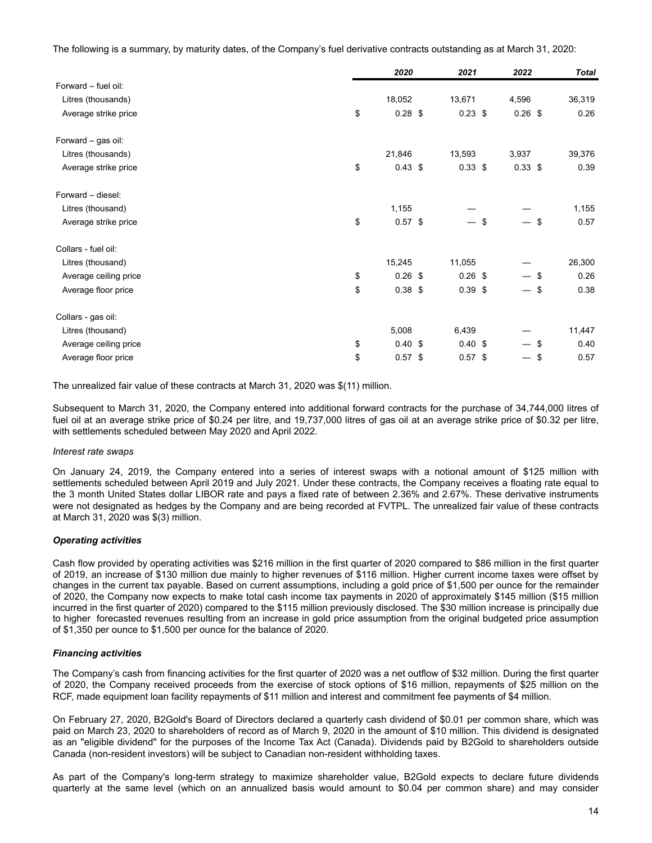The following is a summary, by maturity dates, of the Company's fuel derivative contracts outstanding as at March 31, 2020:

|                       | 2020            | 2021                     | 2022                     | <b>Total</b> |
|-----------------------|-----------------|--------------------------|--------------------------|--------------|
| Forward - fuel oil:   |                 |                          |                          |              |
| Litres (thousands)    | 18,052          | 13,671                   | 4,596                    | 36,319       |
| Average strike price  | \$<br>$0.28$ \$ | $0.23$ \$                | $0.26$ \$                | 0.26         |
| Forward - gas oil:    |                 |                          |                          |              |
| Litres (thousands)    | 21,846          | 13,593                   | 3,937                    | 39,376       |
| Average strike price  | \$<br>0.43~\$   | $0.33$ \$                | $0.33$ \$                | 0.39         |
| Forward - diesel:     |                 |                          |                          |              |
| Litres (thousand)     | 1,155           |                          |                          | 1,155        |
| Average strike price  | \$<br>$0.57$ \$ | $\overline{\phantom{0}}$ | \$<br>— \$               | 0.57         |
| Collars - fuel oil:   |                 |                          |                          |              |
| Litres (thousand)     | 15,245          | 11,055                   |                          | 26,300       |
| Average ceiling price | \$<br>$0.26$ \$ | $0.26$ \$                | — \$                     | 0.26         |
| Average floor price   | \$<br>$0.38$ \$ | $0.39$ \$                | $-$ \$                   | 0.38         |
| Collars - gas oil:    |                 |                          |                          |              |
| Litres (thousand)     | 5,008           | 6,439                    |                          | 11,447       |
| Average ceiling price | \$<br>0.40~\$   | 0.40~\$                  | — \$                     | 0.40         |
| Average floor price   | \$<br>$0.57$ \$ | $0.57$ \$                | $\overline{\phantom{0}}$ | \$<br>0.57   |

The unrealized fair value of these contracts at March 31, 2020 was \$(11) million.

Subsequent to March 31, 2020, the Company entered into additional forward contracts for the purchase of 34,744,000 litres of fuel oil at an average strike price of \$0.24 per litre, and 19,737,000 litres of gas oil at an average strike price of \$0.32 per litre, with settlements scheduled between May 2020 and April 2022.

## *Interest rate swaps*

On January 24, 2019, the Company entered into a series of interest swaps with a notional amount of \$125 million with settlements scheduled between April 2019 and July 2021. Under these contracts, the Company receives a floating rate equal to the 3 month United States dollar LIBOR rate and pays a fixed rate of between 2.36% and 2.67%. These derivative instruments were not designated as hedges by the Company and are being recorded at FVTPL. The unrealized fair value of these contracts at March 31, 2020 was \$(3) million.

## *Operating activities*

Cash flow provided by operating activities was \$216 million in the first quarter of 2020 compared to \$86 million in the first quarter of 2019, an increase of \$130 million due mainly to higher revenues of \$116 million. Higher current income taxes were offset by changes in the current tax payable. Based on current assumptions, including a gold price of \$1,500 per ounce for the remainder of 2020, the Company now expects to make total cash income tax payments in 2020 of approximately \$145 million (\$15 million incurred in the first quarter of 2020) compared to the \$115 million previously disclosed. The \$30 million increase is principally due to higher forecasted revenues resulting from an increase in gold price assumption from the original budgeted price assumption of \$1,350 per ounce to \$1,500 per ounce for the balance of 2020.

# *Financing activities*

The Company's cash from financing activities for the first quarter of 2020 was a net outflow of \$32 million. During the first quarter of 2020, the Company received proceeds from the exercise of stock options of \$16 million, repayments of \$25 million on the RCF, made equipment loan facility repayments of \$11 million and interest and commitment fee payments of \$4 million.

On February 27, 2020, B2Gold's Board of Directors declared a quarterly cash dividend of \$0.01 per common share, which was paid on March 23, 2020 to shareholders of record as of March 9, 2020 in the amount of \$10 million. This dividend is designated as an "eligible dividend" for the purposes of the Income Tax Act (Canada). Dividends paid by B2Gold to shareholders outside Canada (non-resident investors) will be subject to Canadian non-resident withholding taxes.

As part of the Company's long-term strategy to maximize shareholder value, B2Gold expects to declare future dividends quarterly at the same level (which on an annualized basis would amount to \$0.04 per common share) and may consider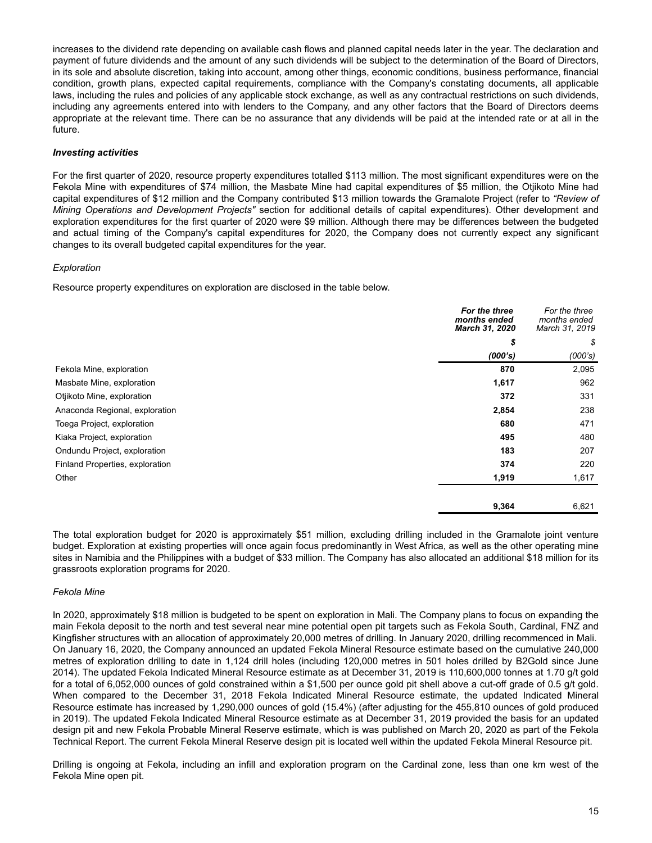increases to the dividend rate depending on available cash flows and planned capital needs later in the year. The declaration and payment of future dividends and the amount of any such dividends will be subject to the determination of the Board of Directors, in its sole and absolute discretion, taking into account, among other things, economic conditions, business performance, financial condition, growth plans, expected capital requirements, compliance with the Company's constating documents, all applicable laws, including the rules and policies of any applicable stock exchange, as well as any contractual restrictions on such dividends, including any agreements entered into with lenders to the Company, and any other factors that the Board of Directors deems appropriate at the relevant time. There can be no assurance that any dividends will be paid at the intended rate or at all in the future.

## *Investing activities*

For the first quarter of 2020, resource property expenditures totalled \$113 million. The most significant expenditures were on the Fekola Mine with expenditures of \$74 million, the Masbate Mine had capital expenditures of \$5 million, the Otjikoto Mine had capital expenditures of \$12 million and the Company contributed \$13 million towards the Gramalote Project (refer to *"Review of Mining Operations and Development Projects"* section for additional details of capital expenditures). Other development and exploration expenditures for the first quarter of 2020 were \$9 million. Although there may be differences between the budgeted and actual timing of the Company's capital expenditures for 2020, the Company does not currently expect any significant changes to its overall budgeted capital expenditures for the year.

#### *Exploration*

Resource property expenditures on exploration are disclosed in the table below.

|                                 | For the three<br>months ended<br>March 31, 2020 | For the three<br>months ended<br>March 31, 2019 |
|---------------------------------|-------------------------------------------------|-------------------------------------------------|
|                                 | \$                                              | \$                                              |
|                                 | (000's)                                         | (000's)                                         |
| Fekola Mine, exploration        | 870                                             | 2,095                                           |
| Masbate Mine, exploration       | 1,617                                           | 962                                             |
| Otjikoto Mine, exploration      | 372                                             | 331                                             |
| Anaconda Regional, exploration  | 2,854                                           | 238                                             |
| Toega Project, exploration      | 680                                             | 471                                             |
| Kiaka Project, exploration      | 495                                             | 480                                             |
| Ondundu Project, exploration    | 183                                             | 207                                             |
| Finland Properties, exploration | 374                                             | 220                                             |
| Other                           | 1,919                                           | 1,617                                           |
|                                 | 9,364                                           | 6,621                                           |

The total exploration budget for 2020 is approximately \$51 million, excluding drilling included in the Gramalote joint venture budget. Exploration at existing properties will once again focus predominantly in West Africa, as well as the other operating mine sites in Namibia and the Philippines with a budget of \$33 million. The Company has also allocated an additional \$18 million for its grassroots exploration programs for 2020.

## *Fekola Mine*

In 2020, approximately \$18 million is budgeted to be spent on exploration in Mali. The Company plans to focus on expanding the main Fekola deposit to the north and test several near mine potential open pit targets such as Fekola South, Cardinal, FNZ and Kingfisher structures with an allocation of approximately 20,000 metres of drilling. In January 2020, drilling recommenced in Mali. On January 16, 2020, the Company announced an updated Fekola Mineral Resource estimate based on the cumulative 240,000 metres of exploration drilling to date in 1,124 drill holes (including 120,000 metres in 501 holes drilled by B2Gold since June 2014). The updated Fekola Indicated Mineral Resource estimate as at December 31, 2019 is 110,600,000 tonnes at 1.70 g/t gold for a total of 6,052,000 ounces of gold constrained within a \$1,500 per ounce gold pit shell above a cut-off grade of 0.5 g/t gold. When compared to the December 31, 2018 Fekola Indicated Mineral Resource estimate, the updated Indicated Mineral Resource estimate has increased by 1,290,000 ounces of gold (15.4%) (after adjusting for the 455,810 ounces of gold produced in 2019). The updated Fekola Indicated Mineral Resource estimate as at December 31, 2019 provided the basis for an updated design pit and new Fekola Probable Mineral Reserve estimate, which is was published on March 20, 2020 as part of the Fekola Technical Report. The current Fekola Mineral Reserve design pit is located well within the updated Fekola Mineral Resource pit.

Drilling is ongoing at Fekola, including an infill and exploration program on the Cardinal zone, less than one km west of the Fekola Mine open pit.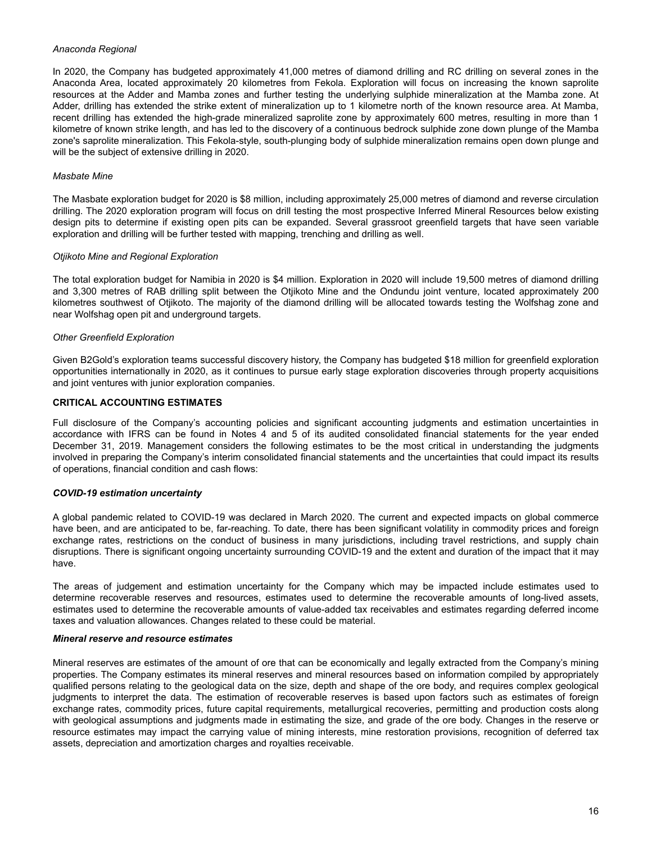#### <span id="page-15-0"></span>*Anaconda Regional*

In 2020, the Company has budgeted approximately 41,000 metres of diamond drilling and RC drilling on several zones in the Anaconda Area, located approximately 20 kilometres from Fekola. Exploration will focus on increasing the known saprolite resources at the Adder and Mamba zones and further testing the underlying sulphide mineralization at the Mamba zone. At Adder, drilling has extended the strike extent of mineralization up to 1 kilometre north of the known resource area. At Mamba, recent drilling has extended the high-grade mineralized saprolite zone by approximately 600 metres, resulting in more than 1 kilometre of known strike length, and has led to the discovery of a continuous bedrock sulphide zone down plunge of the Mamba zone's saprolite mineralization. This Fekola-style, south-plunging body of sulphide mineralization remains open down plunge and will be the subject of extensive drilling in 2020.

## *Masbate Mine*

The Masbate exploration budget for 2020 is \$8 million, including approximately 25,000 metres of diamond and reverse circulation drilling. The 2020 exploration program will focus on drill testing the most prospective Inferred Mineral Resources below existing design pits to determine if existing open pits can be expanded. Several grassroot greenfield targets that have seen variable exploration and drilling will be further tested with mapping, trenching and drilling as well.

## *Otjikoto Mine and Regional Exploration*

The total exploration budget for Namibia in 2020 is \$4 million. Exploration in 2020 will include 19,500 metres of diamond drilling and 3,300 metres of RAB drilling split between the Otjikoto Mine and the Ondundu joint venture, located approximately 200 kilometres southwest of Otjikoto. The majority of the diamond drilling will be allocated towards testing the Wolfshag zone and near Wolfshag open pit and underground targets.

## *Other Greenfield Exploration*

Given B2Gold's exploration teams successful discovery history, the Company has budgeted \$18 million for greenfield exploration opportunities internationally in 2020, as it continues to pursue early stage exploration discoveries through property acquisitions and joint ventures with junior exploration companies.

## **CRITICAL ACCOUNTING ESTIMATES**

Full disclosure of the Company's accounting policies and significant accounting judgments and estimation uncertainties in accordance with IFRS can be found in Notes 4 and 5 of its audited consolidated financial statements for the year ended December 31, 2019. Management considers the following estimates to be the most critical in understanding the judgments involved in preparing the Company's interim consolidated financial statements and the uncertainties that could impact its results of operations, financial condition and cash flows:

## *COVID-19 estimation uncertainty*

A global pandemic related to COVID-19 was declared in March 2020. The current and expected impacts on global commerce have been, and are anticipated to be, far-reaching. To date, there has been significant volatility in commodity prices and foreign exchange rates, restrictions on the conduct of business in many jurisdictions, including travel restrictions, and supply chain disruptions. There is significant ongoing uncertainty surrounding COVID-19 and the extent and duration of the impact that it may have.

The areas of judgement and estimation uncertainty for the Company which may be impacted include estimates used to determine recoverable reserves and resources, estimates used to determine the recoverable amounts of long-lived assets, estimates used to determine the recoverable amounts of value-added tax receivables and estimates regarding deferred income taxes and valuation allowances. Changes related to these could be material.

## *Mineral reserve and resource estimates*

Mineral reserves are estimates of the amount of ore that can be economically and legally extracted from the Company's mining properties. The Company estimates its mineral reserves and mineral resources based on information compiled by appropriately qualified persons relating to the geological data on the size, depth and shape of the ore body, and requires complex geological judgments to interpret the data. The estimation of recoverable reserves is based upon factors such as estimates of foreign exchange rates, commodity prices, future capital requirements, metallurgical recoveries, permitting and production costs along with geological assumptions and judgments made in estimating the size, and grade of the ore body. Changes in the reserve or resource estimates may impact the carrying value of mining interests, mine restoration provisions, recognition of deferred tax assets, depreciation and amortization charges and royalties receivable.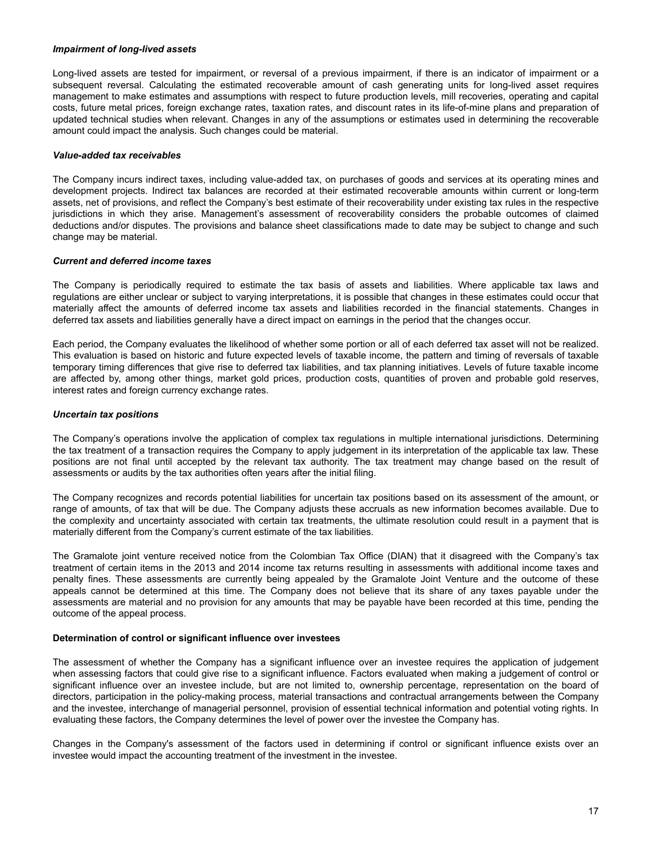#### *Impairment of long-lived assets*

Long-lived assets are tested for impairment, or reversal of a previous impairment, if there is an indicator of impairment or a subsequent reversal. Calculating the estimated recoverable amount of cash generating units for long-lived asset requires management to make estimates and assumptions with respect to future production levels, mill recoveries, operating and capital costs, future metal prices, foreign exchange rates, taxation rates, and discount rates in its life-of-mine plans and preparation of updated technical studies when relevant. Changes in any of the assumptions or estimates used in determining the recoverable amount could impact the analysis. Such changes could be material.

#### *Value-added tax receivables*

The Company incurs indirect taxes, including value-added tax, on purchases of goods and services at its operating mines and development projects. Indirect tax balances are recorded at their estimated recoverable amounts within current or long-term assets, net of provisions, and reflect the Company's best estimate of their recoverability under existing tax rules in the respective jurisdictions in which they arise. Management's assessment of recoverability considers the probable outcomes of claimed deductions and/or disputes. The provisions and balance sheet classifications made to date may be subject to change and such change may be material.

#### *Current and deferred income taxes*

The Company is periodically required to estimate the tax basis of assets and liabilities. Where applicable tax laws and regulations are either unclear or subject to varying interpretations, it is possible that changes in these estimates could occur that materially affect the amounts of deferred income tax assets and liabilities recorded in the financial statements. Changes in deferred tax assets and liabilities generally have a direct impact on earnings in the period that the changes occur.

Each period, the Company evaluates the likelihood of whether some portion or all of each deferred tax asset will not be realized. This evaluation is based on historic and future expected levels of taxable income, the pattern and timing of reversals of taxable temporary timing differences that give rise to deferred tax liabilities, and tax planning initiatives. Levels of future taxable income are affected by, among other things, market gold prices, production costs, quantities of proven and probable gold reserves, interest rates and foreign currency exchange rates.

#### *Uncertain tax positions*

The Company's operations involve the application of complex tax regulations in multiple international jurisdictions. Determining the tax treatment of a transaction requires the Company to apply judgement in its interpretation of the applicable tax law. These positions are not final until accepted by the relevant tax authority. The tax treatment may change based on the result of assessments or audits by the tax authorities often years after the initial filing.

The Company recognizes and records potential liabilities for uncertain tax positions based on its assessment of the amount, or range of amounts, of tax that will be due. The Company adjusts these accruals as new information becomes available. Due to the complexity and uncertainty associated with certain tax treatments, the ultimate resolution could result in a payment that is materially different from the Company's current estimate of the tax liabilities.

The Gramalote joint venture received notice from the Colombian Tax Office (DIAN) that it disagreed with the Company's tax treatment of certain items in the 2013 and 2014 income tax returns resulting in assessments with additional income taxes and penalty fines. These assessments are currently being appealed by the Gramalote Joint Venture and the outcome of these appeals cannot be determined at this time. The Company does not believe that its share of any taxes payable under the assessments are material and no provision for any amounts that may be payable have been recorded at this time, pending the outcome of the appeal process.

#### **Determination of control or significant influence over investees**

The assessment of whether the Company has a significant influence over an investee requires the application of judgement when assessing factors that could give rise to a significant influence. Factors evaluated when making a judgement of control or significant influence over an investee include, but are not limited to, ownership percentage, representation on the board of directors, participation in the policy-making process, material transactions and contractual arrangements between the Company and the investee, interchange of managerial personnel, provision of essential technical information and potential voting rights. In evaluating these factors, the Company determines the level of power over the investee the Company has.

Changes in the Company's assessment of the factors used in determining if control or significant influence exists over an investee would impact the accounting treatment of the investment in the investee.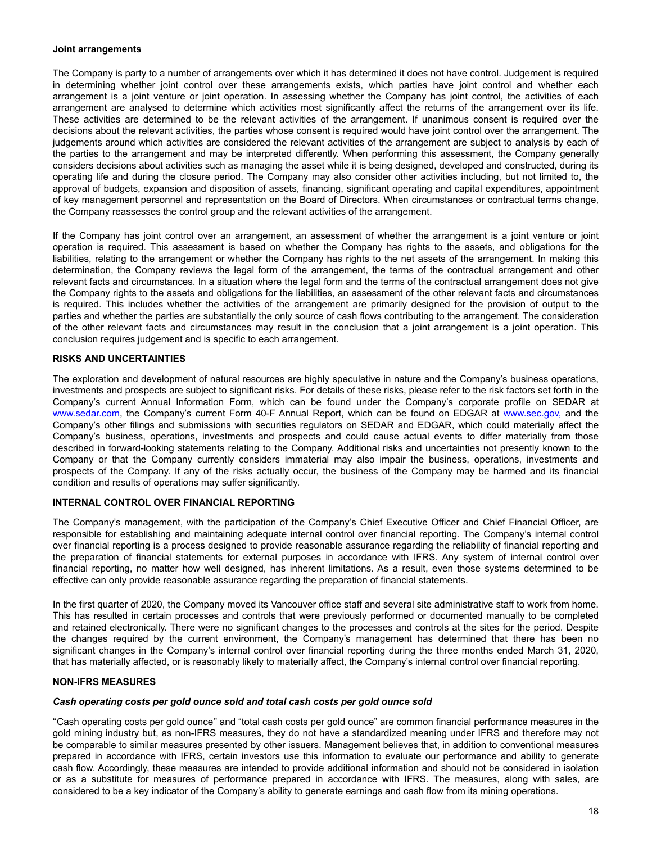#### <span id="page-17-0"></span>**Joint arrangements**

The Company is party to a number of arrangements over which it has determined it does not have control. Judgement is required in determining whether joint control over these arrangements exists, which parties have joint control and whether each arrangement is a joint venture or joint operation. In assessing whether the Company has joint control, the activities of each arrangement are analysed to determine which activities most significantly affect the returns of the arrangement over its life. These activities are determined to be the relevant activities of the arrangement. If unanimous consent is required over the decisions about the relevant activities, the parties whose consent is required would have joint control over the arrangement. The judgements around which activities are considered the relevant activities of the arrangement are subject to analysis by each of the parties to the arrangement and may be interpreted differently. When performing this assessment, the Company generally considers decisions about activities such as managing the asset while it is being designed, developed and constructed, during its operating life and during the closure period. The Company may also consider other activities including, but not limited to, the approval of budgets, expansion and disposition of assets, financing, significant operating and capital expenditures, appointment of key management personnel and representation on the Board of Directors. When circumstances or contractual terms change, the Company reassesses the control group and the relevant activities of the arrangement.

If the Company has joint control over an arrangement, an assessment of whether the arrangement is a joint venture or joint operation is required. This assessment is based on whether the Company has rights to the assets, and obligations for the liabilities, relating to the arrangement or whether the Company has rights to the net assets of the arrangement. In making this determination, the Company reviews the legal form of the arrangement, the terms of the contractual arrangement and other relevant facts and circumstances. In a situation where the legal form and the terms of the contractual arrangement does not give the Company rights to the assets and obligations for the liabilities, an assessment of the other relevant facts and circumstances is required. This includes whether the activities of the arrangement are primarily designed for the provision of output to the parties and whether the parties are substantially the only source of cash flows contributing to the arrangement. The consideration of the other relevant facts and circumstances may result in the conclusion that a joint arrangement is a joint operation. This conclusion requires judgement and is specific to each arrangement.

## **RISKS AND UNCERTAINTIES**

The exploration and development of natural resources are highly speculative in nature and the Company's business operations, investments and prospects are subject to significant risks. For details of these risks, please refer to the risk factors set forth in the Company's current Annual Information Form, which can be found under the Company's corporate profile on SEDAR at www.sedar.com, the Company's current Form 40-F Annual Report, which can be found on EDGAR at www.sec.gov, and the Company's other filings and submissions with securities regulators on SEDAR and EDGAR, which could materially affect the Company's business, operations, investments and prospects and could cause actual events to differ materially from those described in forward-looking statements relating to the Company. Additional risks and uncertainties not presently known to the Company or that the Company currently considers immaterial may also impair the business, operations, investments and prospects of the Company. If any of the risks actually occur, the business of the Company may be harmed and its financial condition and results of operations may suffer significantly.

## **INTERNAL CONTROL OVER FINANCIAL REPORTING**

The Company's management, with the participation of the Company's Chief Executive Officer and Chief Financial Officer, are responsible for establishing and maintaining adequate internal control over financial reporting. The Company's internal control over financial reporting is a process designed to provide reasonable assurance regarding the reliability of financial reporting and the preparation of financial statements for external purposes in accordance with IFRS. Any system of internal control over financial reporting, no matter how well designed, has inherent limitations. As a result, even those systems determined to be effective can only provide reasonable assurance regarding the preparation of financial statements.

In the first quarter of 2020, the Company moved its Vancouver office staff and several site administrative staff to work from home. This has resulted in certain processes and controls that were previously performed or documented manually to be completed and retained electronically. There were no significant changes to the processes and controls at the sites for the period. Despite the changes required by the current environment, the Company's management has determined that there has been no significant changes in the Company's internal control over financial reporting during the three months ended March 31, 2020, that has materially affected, or is reasonably likely to materially affect, the Company's internal control over financial reporting.

# **NON-IFRS MEASURES**

## *Cash operating costs per gold ounce sold and total cash costs per gold ounce sold*

''Cash operating costs per gold ounce'' and "total cash costs per gold ounce" are common financial performance measures in the gold mining industry but, as non-IFRS measures, they do not have a standardized meaning under IFRS and therefore may not be comparable to similar measures presented by other issuers. Management believes that, in addition to conventional measures prepared in accordance with IFRS, certain investors use this information to evaluate our performance and ability to generate cash flow. Accordingly, these measures are intended to provide additional information and should not be considered in isolation or as a substitute for measures of performance prepared in accordance with IFRS. The measures, along with sales, are considered to be a key indicator of the Company's ability to generate earnings and cash flow from its mining operations.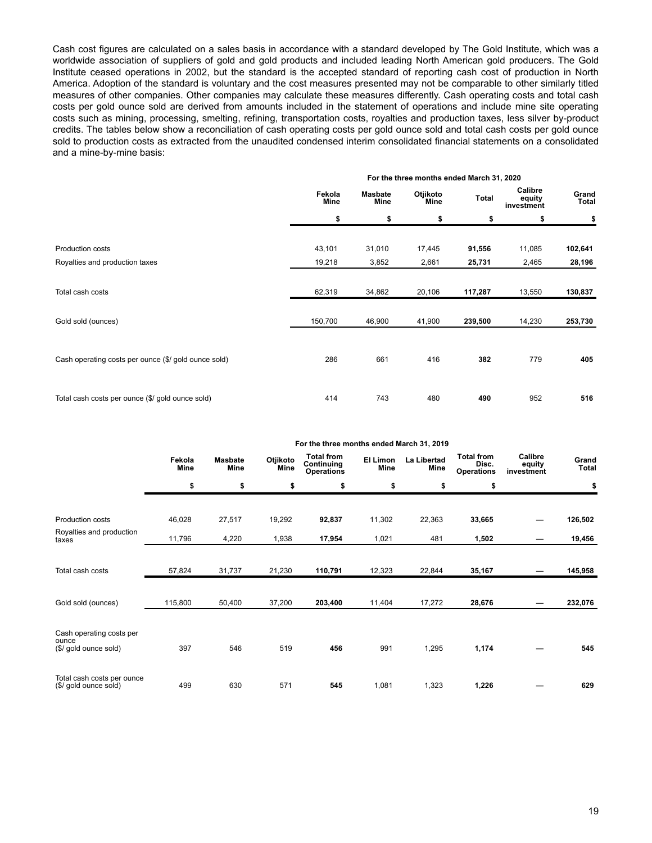Cash cost figures are calculated on a sales basis in accordance with a standard developed by The Gold Institute, which was a worldwide association of suppliers of gold and gold products and included leading North American gold producers. The Gold Institute ceased operations in 2002, but the standard is the accepted standard of reporting cash cost of production in North America. Adoption of the standard is voluntary and the cost measures presented may not be comparable to other similarly titled measures of other companies. Other companies may calculate these measures differently. Cash operating costs and total cash costs per gold ounce sold are derived from amounts included in the statement of operations and include mine site operating costs such as mining, processing, smelting, refining, transportation costs, royalties and production taxes, less silver by-product credits. The tables below show a reconciliation of cash operating costs per gold ounce sold and total cash costs per gold ounce sold to production costs as extracted from the unaudited condensed interim consolidated financial statements on a consolidated and a mine-by-mine basis:

|                                                      | For the three months ended March 31, 2020 |                        |                  |         |                                 |                       |  |  |
|------------------------------------------------------|-------------------------------------------|------------------------|------------------|---------|---------------------------------|-----------------------|--|--|
|                                                      | Fekola<br>Mine                            | <b>Masbate</b><br>Mine | Otjikoto<br>Mine | Total   | Calibre<br>equity<br>investment | Grand<br><b>Total</b> |  |  |
|                                                      | \$                                        | \$                     | \$               | \$      | \$                              | \$                    |  |  |
| Production costs                                     | 43,101                                    | 31,010                 | 17,445           | 91,556  | 11,085                          | 102,641               |  |  |
| Royalties and production taxes                       | 19,218                                    | 3,852                  | 2,661            | 25,731  | 2,465                           | 28,196                |  |  |
|                                                      |                                           |                        |                  |         |                                 |                       |  |  |
| Total cash costs                                     | 62,319                                    | 34,862                 | 20,106           | 117,287 | 13,550                          | 130,837               |  |  |
| Gold sold (ounces)                                   | 150,700                                   | 46,900                 | 41,900           | 239,500 | 14,230                          | 253,730               |  |  |
| Cash operating costs per ounce (\$/ gold ounce sold) | 286                                       | 661                    | 416              | 382     | 779                             | 405                   |  |  |
| Total cash costs per ounce (\$/ gold ounce sold)     | 414                                       | 743                    | 480              | 490     | 952                             | 516                   |  |  |

|                                                            | For the three months ended March 31, 2019 |                               |                  |                                                      |                  |                     |                                                 |                                 |                       |  |  |  |
|------------------------------------------------------------|-------------------------------------------|-------------------------------|------------------|------------------------------------------------------|------------------|---------------------|-------------------------------------------------|---------------------------------|-----------------------|--|--|--|
|                                                            | Fekola<br>Mine                            | <b>Masbate</b><br><b>Mine</b> | Otjikoto<br>Mine | <b>Total from</b><br>Continuina<br><b>Operations</b> | El Limon<br>Mine | La Libertad<br>Mine | <b>Total from</b><br>Disc.<br><b>Operations</b> | Calibre<br>equity<br>investment | Grand<br><b>Total</b> |  |  |  |
|                                                            | \$                                        | \$                            | \$               | \$                                                   | \$               | \$                  | \$                                              |                                 | \$                    |  |  |  |
| <b>Production costs</b>                                    | 46,028                                    | 27,517                        | 19,292           | 92,837                                               | 11,302           | 22,363              | 33,665                                          |                                 | 126,502               |  |  |  |
| Royalties and production<br>taxes                          | 11,796                                    | 4,220                         | 1,938            | 17,954                                               | 1,021            | 481                 | 1,502                                           |                                 | 19,456                |  |  |  |
| Total cash costs                                           | 57,824                                    | 31,737                        | 21,230           | 110,791                                              | 12,323           | 22,844              | 35,167                                          |                                 | 145,958               |  |  |  |
| Gold sold (ounces)                                         | 115,800                                   | 50,400                        | 37,200           | 203,400                                              | 11,404           | 17,272              | 28,676                                          |                                 | 232,076               |  |  |  |
| Cash operating costs per<br>ounce<br>(\$/ gold ounce sold) | 397                                       | 546                           | 519              | 456                                                  | 991              | 1,295               | 1,174                                           |                                 | 545                   |  |  |  |
| Total cash costs per ounce<br>(\$/ gold ounce sold)        | 499                                       | 630                           | 571              | 545                                                  | 1,081            | 1,323               | 1,226                                           |                                 | 629                   |  |  |  |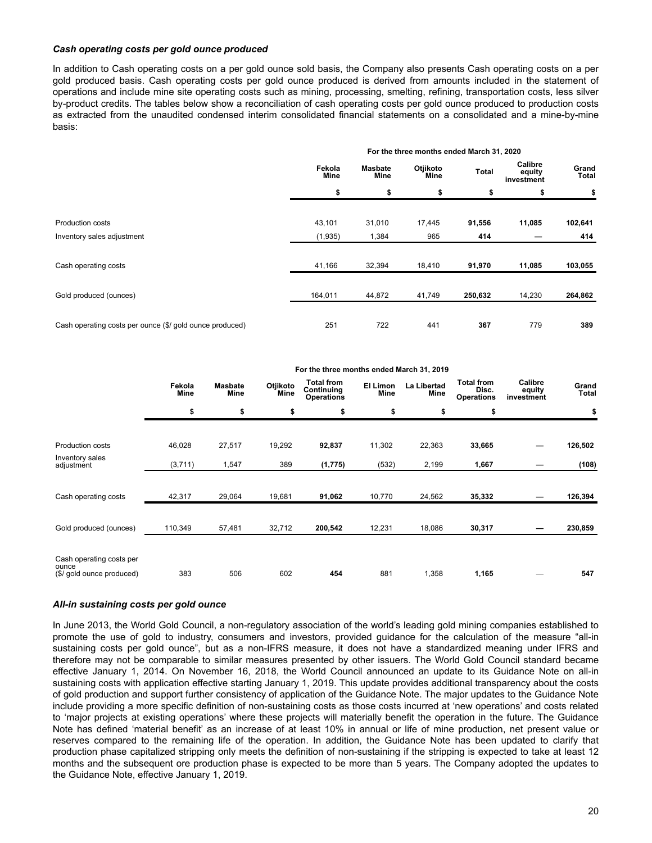#### *Cash operating costs per gold ounce produced*

In addition to Cash operating costs on a per gold ounce sold basis, the Company also presents Cash operating costs on a per gold produced basis. Cash operating costs per gold ounce produced is derived from amounts included in the statement of operations and include mine site operating costs such as mining, processing, smelting, refining, transportation costs, less silver by-product credits. The tables below show a reconciliation of cash operating costs per gold ounce produced to production costs as extracted from the unaudited condensed interim consolidated financial statements on a consolidated and a mine-by-mine basis:

|                                                          | For the three months ended March 31, 2020 |                        |                  |         |                                 |                       |  |  |  |
|----------------------------------------------------------|-------------------------------------------|------------------------|------------------|---------|---------------------------------|-----------------------|--|--|--|
|                                                          | Fekola<br>Mine                            | Masbate<br><b>Mine</b> | Otjikoto<br>Mine | Total   | Calibre<br>equity<br>investment | Grand<br><b>Total</b> |  |  |  |
|                                                          | \$                                        | \$                     | \$               | \$      | \$                              | \$                    |  |  |  |
| <b>Production costs</b>                                  | 43,101                                    | 31,010                 | 17,445           | 91,556  | 11,085                          | 102,641               |  |  |  |
| Inventory sales adjustment                               | (1,935)                                   | 1,384                  | 965              | 414     |                                 | 414                   |  |  |  |
| Cash operating costs                                     | 41,166                                    | 32,394                 | 18,410           | 91,970  | 11,085                          | 103,055               |  |  |  |
| Gold produced (ounces)                                   | 164,011                                   | 44,872                 | 41,749           | 250,632 | 14,230                          | 264,862               |  |  |  |
| Cash operating costs per ounce (\$/ gold ounce produced) | 251                                       | 722                    | 441              | 367     | 779                             | 389                   |  |  |  |

#### **For the three months ended March 31, 2019**

|                                                                | Fekola<br>Mine | <b>Masbate</b><br>Mine | Otjikoto<br>Mine | <b>Total from</b><br>Continuing<br><b>Operations</b> | El Limon<br>Mine | La Libertad<br>Mine | <b>Total from</b><br>Disc.<br><b>Operations</b> | Calibre<br>equity<br>investment | Grand<br>Total |
|----------------------------------------------------------------|----------------|------------------------|------------------|------------------------------------------------------|------------------|---------------------|-------------------------------------------------|---------------------------------|----------------|
|                                                                | \$             | \$                     | \$               | \$                                                   | \$               | \$                  | \$                                              |                                 | \$             |
|                                                                |                |                        |                  |                                                      |                  |                     |                                                 |                                 |                |
| Production costs                                               | 46,028         | 27,517                 | 19,292           | 92,837                                               | 11,302           | 22,363              | 33,665                                          |                                 | 126,502        |
| Inventory sales<br>adjustment                                  | (3,711)        | 1,547                  | 389              | (1, 775)                                             | (532)            | 2,199               | 1,667                                           |                                 | (108)          |
|                                                                |                |                        |                  |                                                      |                  |                     |                                                 |                                 |                |
| Cash operating costs                                           | 42,317         | 29,064                 | 19,681           | 91,062                                               | 10,770           | 24,562              | 35,332                                          |                                 | 126,394        |
|                                                                |                |                        |                  |                                                      |                  |                     |                                                 |                                 |                |
| Gold produced (ounces)                                         | 110,349        | 57,481                 | 32,712           | 200,542                                              | 12,231           | 18,086              | 30,317                                          |                                 | 230,859        |
|                                                                |                |                        |                  |                                                      |                  |                     |                                                 |                                 |                |
| Cash operating costs per<br>ounce<br>(\$/ gold ounce produced) | 383            | 506                    | 602              | 454                                                  | 881              | 1,358               | 1,165                                           |                                 | 547            |

#### *All-in sustaining costs per gold ounce*

In June 2013, the World Gold Council, a non-regulatory association of the world's leading gold mining companies established to promote the use of gold to industry, consumers and investors, provided guidance for the calculation of the measure "all-in sustaining costs per gold ounce", but as a non-IFRS measure, it does not have a standardized meaning under IFRS and therefore may not be comparable to similar measures presented by other issuers. The World Gold Council standard became effective January 1, 2014. On November 16, 2018, the World Council announced an update to its Guidance Note on all-in sustaining costs with application effective starting January 1, 2019. This update provides additional transparency about the costs of gold production and support further consistency of application of the Guidance Note. The major updates to the Guidance Note include providing a more specific definition of non-sustaining costs as those costs incurred at 'new operations' and costs related to 'major projects at existing operations' where these projects will materially benefit the operation in the future. The Guidance Note has defined 'material benefit' as an increase of at least 10% in annual or life of mine production, net present value or reserves compared to the remaining life of the operation. In addition, the Guidance Note has been updated to clarify that production phase capitalized stripping only meets the definition of non-sustaining if the stripping is expected to take at least 12 months and the subsequent ore production phase is expected to be more than 5 years. The Company adopted the updates to the Guidance Note, effective January 1, 2019.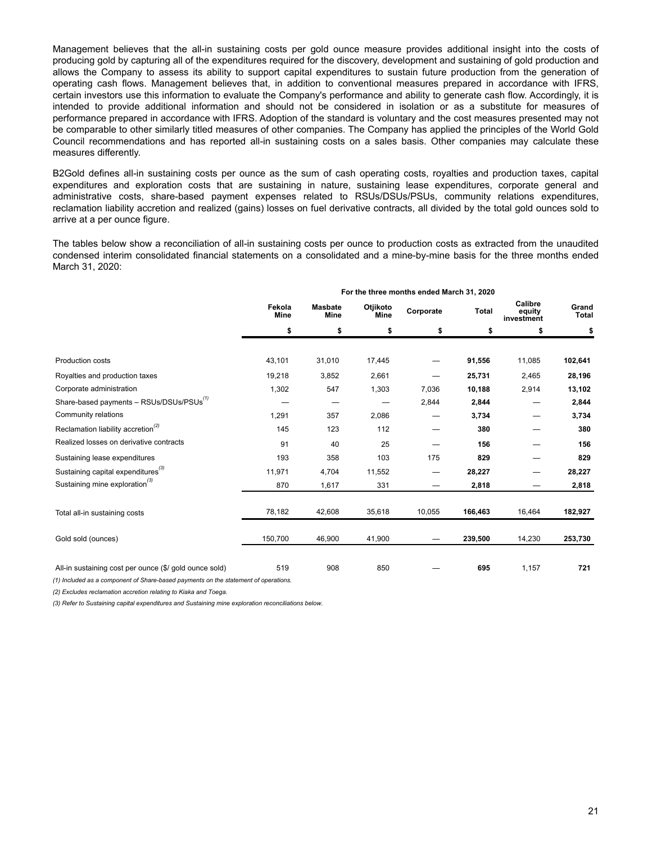Management believes that the all-in sustaining costs per gold ounce measure provides additional insight into the costs of producing gold by capturing all of the expenditures required for the discovery, development and sustaining of gold production and allows the Company to assess its ability to support capital expenditures to sustain future production from the generation of operating cash flows. Management believes that, in addition to conventional measures prepared in accordance with IFRS, certain investors use this information to evaluate the Company's performance and ability to generate cash flow. Accordingly, it is intended to provide additional information and should not be considered in isolation or as a substitute for measures of performance prepared in accordance with IFRS. Adoption of the standard is voluntary and the cost measures presented may not be comparable to other similarly titled measures of other companies. The Company has applied the principles of the World Gold Council recommendations and has reported all-in sustaining costs on a sales basis. Other companies may calculate these measures differently.

B2Gold defines all-in sustaining costs per ounce as the sum of cash operating costs, royalties and production taxes, capital expenditures and exploration costs that are sustaining in nature, sustaining lease expenditures, corporate general and administrative costs, share-based payment expenses related to RSUs/DSUs/PSUs, community relations expenditures, reclamation liability accretion and realized (gains) losses on fuel derivative contracts, all divided by the total gold ounces sold to arrive at a per ounce figure.

The tables below show a reconciliation of all-in sustaining costs per ounce to production costs as extracted from the unaudited condensed interim consolidated financial statements on a consolidated and a mine-by-mine basis for the three months ended March 31, 2020:

|                                                        | For the three months ended March 31, 2020 |                               |                         |           |         |                                 |                       |  |  |
|--------------------------------------------------------|-------------------------------------------|-------------------------------|-------------------------|-----------|---------|---------------------------------|-----------------------|--|--|
|                                                        | Fekola<br>Mine                            | <b>Masbate</b><br><b>Mine</b> | Otjikoto<br><b>Mine</b> | Corporate | Total   | Calibre<br>equity<br>investment | Grand<br><b>Total</b> |  |  |
|                                                        | \$                                        | \$                            | \$                      | \$        | \$      | \$                              | \$                    |  |  |
| Production costs                                       | 43,101                                    | 31,010                        | 17,445                  |           | 91,556  | 11,085                          | 102,641               |  |  |
| Royalties and production taxes                         | 19,218                                    | 3,852                         | 2,661                   |           | 25,731  | 2,465                           | 28,196                |  |  |
| Corporate administration                               | 1,302                                     | 547                           | 1,303                   | 7,036     | 10,188  | 2,914                           | 13,102                |  |  |
| Share-based payments - RSUs/DSUs/PSUs <sup>(1)</sup>   |                                           |                               |                         | 2,844     | 2,844   |                                 | 2,844                 |  |  |
| Community relations                                    | 1,291                                     | 357                           | 2,086                   |           | 3,734   |                                 | 3,734                 |  |  |
| Reclamation liability accretion <sup>(2)</sup>         | 145                                       | 123                           | 112                     |           | 380     |                                 | 380                   |  |  |
| Realized losses on derivative contracts                | 91                                        | 40                            | 25                      |           | 156     |                                 | 156                   |  |  |
| Sustaining lease expenditures                          | 193                                       | 358                           | 103                     | 175       | 829     |                                 | 829                   |  |  |
| Sustaining capital expenditures <sup>(3)</sup>         | 11,971                                    | 4,704                         | 11,552                  |           | 28,227  |                                 | 28,227                |  |  |
| Sustaining mine exploration <sup>(3)</sup>             | 870                                       | 1,617                         | 331                     |           | 2,818   |                                 | 2,818                 |  |  |
| Total all-in sustaining costs                          | 78,182                                    | 42,608                        | 35,618                  | 10,055    | 166,463 | 16,464                          | 182,927               |  |  |
| Gold sold (ounces)                                     | 150,700                                   | 46,900                        | 41,900                  |           | 239,500 | 14,230                          | 253,730               |  |  |
| All-in sustaining cost per ounce (\$/ gold ounce sold) | 519                                       | 908                           | 850                     |           | 695     | 1,157                           | 721                   |  |  |

*(1) Included as a component of Share-based payments on the statement of operations.*

*(2) Excludes reclamation accretion relating to Kiaka and Toega.*

*(3) Refer to Sustaining capital expenditures and Sustaining mine exploration reconciliations below.*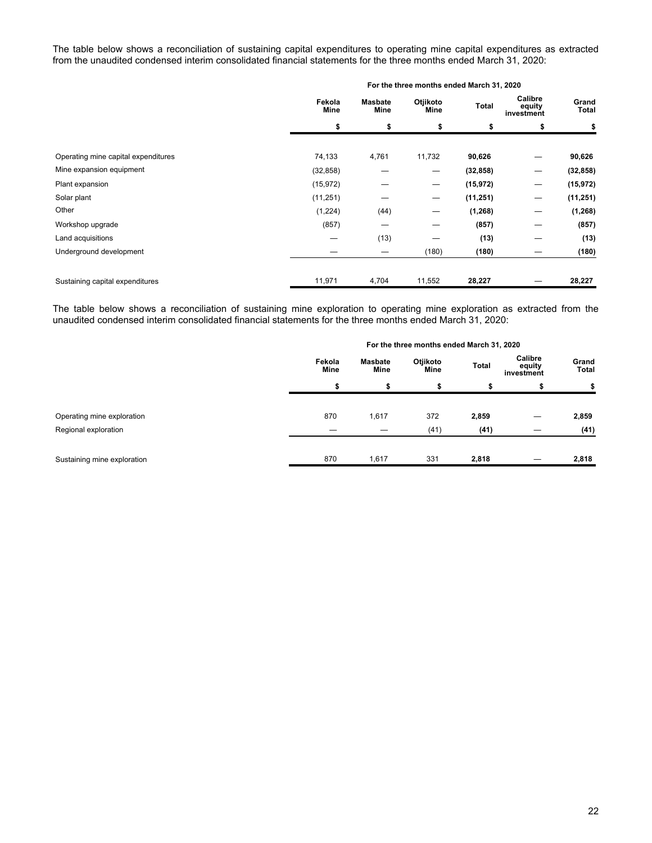The table below shows a reconciliation of sustaining capital expenditures to operating mine capital expenditures as extracted from the unaudited condensed interim consolidated financial statements for the three months ended March 31, 2020:

|                                     | Fekola<br><b>Mine</b> | Masbate<br>Mine | Otjikoto<br>Mine                | Total     | Calibre<br>equity<br>investment | Grand<br><b>Total</b> |  |  |
|-------------------------------------|-----------------------|-----------------|---------------------------------|-----------|---------------------------------|-----------------------|--|--|
|                                     | \$                    | \$              | \$                              | \$        | \$                              | \$                    |  |  |
| Operating mine capital expenditures | 74,133                | 4,761           | 11,732                          | 90,626    |                                 | 90,626                |  |  |
| Mine expansion equipment            | (32, 858)             |                 | –                               | (32, 858) |                                 | (32, 858)             |  |  |
| Plant expansion                     | (15, 972)             |                 | —                               | (15, 972) | —                               | (15, 972)             |  |  |
| Solar plant                         | (11, 251)             |                 | $\hspace{0.1mm}-\hspace{0.1mm}$ | (11, 251) | —                               | (11, 251)             |  |  |
| Other                               | (1,224)               | (44)            | —                               | (1, 268)  | —                               | (1, 268)              |  |  |
| Workshop upgrade                    | (857)                 | –               |                                 | (857)     |                                 | (857)                 |  |  |
| Land acquisitions                   |                       | (13)            |                                 | (13)      |                                 | (13)                  |  |  |
| Underground development             |                       |                 | (180)                           | (180)     |                                 | (180)                 |  |  |
| Sustaining capital expenditures     | 11,971                | 4,704           | 11,552                          | 28,227    |                                 | 28,227                |  |  |

The table below shows a reconciliation of sustaining mine exploration to operating mine exploration as extracted from the unaudited condensed interim consolidated financial statements for the three months ended March 31, 2020:

|                             | For the three months ended March 31, 2020 |                        |                  |              |                                 |                |  |  |  |
|-----------------------------|-------------------------------------------|------------------------|------------------|--------------|---------------------------------|----------------|--|--|--|
|                             | Fekola<br>Mine                            | <b>Masbate</b><br>Mine | Otjikoto<br>Mine | <b>Total</b> | Calibre<br>equity<br>investment | Grand<br>Total |  |  |  |
|                             | ъ                                         | \$                     | S                | э            |                                 | \$             |  |  |  |
| Operating mine exploration  | 870                                       | 1,617                  | 372              | 2,859        |                                 | 2,859          |  |  |  |
| Regional exploration        |                                           |                        | (41)             | (41)         |                                 | (41)           |  |  |  |
| Sustaining mine exploration | 870                                       | 1,617                  | 331              | 2,818        |                                 | 2,818          |  |  |  |

# **For the three months ended March 31, 2020**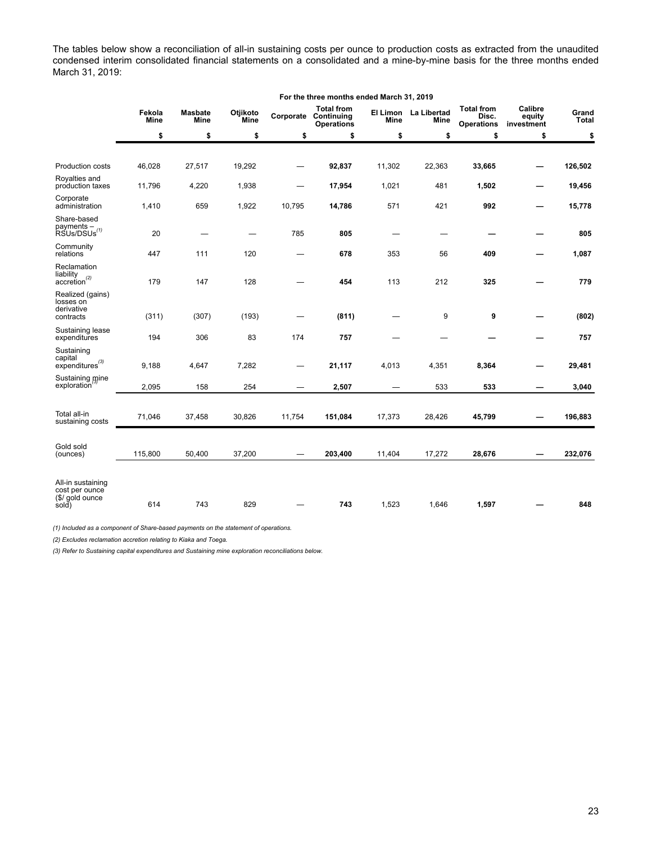The tables below show a reconciliation of all-in sustaining costs per ounce to production costs as extracted from the unaudited condensed interim consolidated financial statements on a consolidated and a mine-by-mine basis for the three months ended March 31, 2019:

|                                                                           | For the three months ended March 31, 2019 |                        |                  |                          |                                                                |                   |                              |                                                 |                                 |                |  |  |
|---------------------------------------------------------------------------|-------------------------------------------|------------------------|------------------|--------------------------|----------------------------------------------------------------|-------------------|------------------------------|-------------------------------------------------|---------------------------------|----------------|--|--|
|                                                                           | Fekola<br>Mine                            | <b>Masbate</b><br>Mine | Otjikoto<br>Mine |                          | <b>Total from</b><br>Corporate Continuing<br><b>Operations</b> | Mine              | El Limon La Libertad<br>Mine | <b>Total from</b><br>Disc.<br><b>Operations</b> | Calibre<br>equity<br>investment | Grand<br>Total |  |  |
|                                                                           | \$                                        | \$                     | \$               | \$                       | \$                                                             | \$                | \$                           | \$                                              | \$                              | \$             |  |  |
|                                                                           |                                           |                        |                  |                          |                                                                |                   |                              |                                                 |                                 |                |  |  |
| Production costs                                                          | 46,028                                    | 27,517                 | 19,292           |                          | 92,837                                                         | 11,302            | 22,363                       | 33,665                                          |                                 | 126,502        |  |  |
| Royalties and<br>production taxes                                         | 11,796                                    | 4,220                  | 1,938            | $\overline{\phantom{0}}$ | 17,954                                                         | 1,021             | 481                          | 1,502                                           |                                 | 19,456         |  |  |
| Corporate<br>administration                                               | 1,410                                     | 659                    | 1,922            | 10,795                   | 14,786                                                         | 571               | 421                          | 992                                             |                                 | 15,778         |  |  |
| Share-based<br>payments -<br>RSUs/DSUs <sup>(1)</sup>                     | 20                                        |                        |                  | 785                      | 805                                                            |                   |                              |                                                 |                                 | 805            |  |  |
| Community<br>relations                                                    | 447                                       | 111                    | 120              |                          | 678                                                            | 353               | 56                           | 409                                             |                                 | 1,087          |  |  |
| Reclamation<br>liability<br>$\frac{1}{\sqrt{2}}$ accretion <sup>(2)</sup> | 179                                       | 147                    | 128              |                          | 454                                                            | 113               | 212                          | 325                                             |                                 | 779            |  |  |
| Realized (gains)<br>losses on<br>derivative<br>contracts                  | (311)                                     | (307)                  | (193)            |                          | (811)                                                          |                   | 9                            | 9                                               |                                 | (802)          |  |  |
| Sustaining lease<br>expenditures                                          | 194                                       | 306                    | 83               | 174                      | 757                                                            |                   |                              |                                                 |                                 | 757            |  |  |
| Sustaining<br>capital<br>$expenditures^{(3)}$                             | 9,188                                     | 4,647                  | 7,282            |                          | 21,117                                                         | 4,013             | 4,351                        | 8,364                                           |                                 | 29,481         |  |  |
| Sustaining mine<br>exploration                                            | 2,095                                     | 158                    | 254              |                          | 2,507                                                          | $\qquad \qquad -$ | 533                          | 533                                             |                                 | 3,040          |  |  |
| Total all-in<br>sustaining costs                                          | 71,046                                    | 37,458                 | 30,826           | 11,754                   | 151,084                                                        | 17,373            | 28,426                       | 45,799                                          |                                 | 196,883        |  |  |
| Gold sold<br>(ounces)                                                     | 115,800                                   | 50,400                 | 37,200           |                          | 203,400                                                        | 11,404            | 17,272                       | 28,676                                          |                                 | 232,076        |  |  |
| All-in sustaining<br>cost per ounce<br>(\$/ gold ounce<br>sold)           | 614                                       | 743                    | 829              |                          | 743                                                            | 1,523             | 1,646                        | 1,597                                           |                                 | 848            |  |  |

*(1) Included as a component of Share-based payments on the statement of operations.*

*(2) Excludes reclamation accretion relating to Kiaka and Toega.*

*(3) Refer to Sustaining capital expenditures and Sustaining mine exploration reconciliations below.*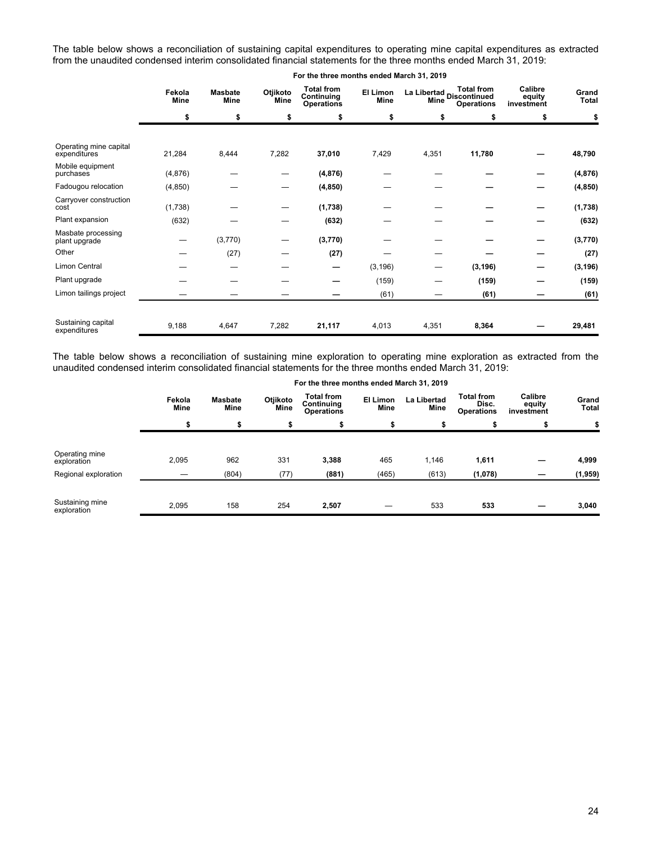The table below shows a reconciliation of sustaining capital expenditures to operating mine capital expenditures as extracted from the unaudited condensed interim consolidated financial statements for the three months ended March 31, 2019:

|                                        | Fekola<br><b>Masbate</b><br>Mine<br>Mine |         | Otjikoto<br>Mine | <b>Total from</b><br>Continuing<br><b>Operations</b> | El Limon<br>Mine | Mine  | <b>Total from</b><br>La Libertad<br>Discontinued<br><b>Operations</b> | Calibre<br>equity<br>investment | Grand<br><b>Total</b> |
|----------------------------------------|------------------------------------------|---------|------------------|------------------------------------------------------|------------------|-------|-----------------------------------------------------------------------|---------------------------------|-----------------------|
|                                        | \$                                       | \$      | \$               |                                                      | \$               |       | S                                                                     | S                               | \$                    |
|                                        |                                          |         |                  |                                                      |                  |       |                                                                       |                                 |                       |
| Operating mine capital<br>expenditures | 21,284                                   | 8,444   | 7,282            | 37,010                                               | 7,429            | 4,351 | 11,780                                                                |                                 | 48,790                |
| Mobile equipment<br>purchases          | (4,876)                                  |         |                  | (4, 876)                                             |                  |       |                                                                       |                                 | (4, 876)              |
| Fadougou relocation                    | (4, 850)                                 |         |                  | (4, 850)                                             |                  |       |                                                                       |                                 | (4, 850)              |
| Carryover construction<br>cost         | (1,738)                                  |         |                  | (1,738)                                              |                  |       |                                                                       |                                 | (1,738)               |
| Plant expansion                        | (632)                                    |         |                  | (632)                                                |                  |       |                                                                       |                                 | (632)                 |
| Masbate processing<br>plant upgrade    |                                          | (3,770) |                  | (3,770)                                              |                  |       |                                                                       |                                 | (3,770)               |
| Other                                  |                                          | (27)    |                  | (27)                                                 |                  |       |                                                                       |                                 | (27)                  |
| Limon Central                          |                                          |         |                  | –                                                    | (3, 196)         |       | (3, 196)                                                              |                                 | (3, 196)              |
| Plant upgrade                          |                                          |         |                  |                                                      | (159)            |       | (159)                                                                 |                                 | (159)                 |
| Limon tailings project                 |                                          |         |                  |                                                      | (61)             |       | (61)                                                                  |                                 | (61)                  |
| Sustaining capital<br>expenditures     | 9,188                                    | 4,647   | 7,282            | 21,117                                               | 4,013            | 4,351 | 8,364                                                                 |                                 | 29,481                |

The table below shows a reconciliation of sustaining mine exploration to operating mine exploration as extracted from the unaudited condensed interim consolidated financial statements for the three months ended March 31, 2019:

|                                | For the three months ended March 31, 2019 |                               |                  |                                                      |                                |                     |                                                 |                                 |                |  |  |
|--------------------------------|-------------------------------------------|-------------------------------|------------------|------------------------------------------------------|--------------------------------|---------------------|-------------------------------------------------|---------------------------------|----------------|--|--|
|                                | Fekola<br>Mine                            | <b>Masbate</b><br><b>Mine</b> | Otjikoto<br>Mine | <b>Total from</b><br>Continuing<br><b>Operations</b> | <b>El Limon</b><br><b>Mine</b> | La Libertad<br>Mine | <b>Total from</b><br>Disc.<br><b>Operations</b> | Calibre<br>equity<br>investment | Grand<br>Total |  |  |
|                                | \$                                        | \$                            |                  |                                                      |                                |                     |                                                 |                                 |                |  |  |
| Operating mine<br>exploration  | 2,095                                     | 962                           | 331              | 3,388                                                | 465                            | 1,146               | 1,611                                           |                                 | 4,999          |  |  |
| Regional exploration           |                                           | (804)                         | (77)             | (881)                                                | (465)                          | (613)               | (1,078)                                         |                                 | (1,959)        |  |  |
| Sustaining mine<br>exploration | 2,095                                     | 158                           | 254              | 2,507                                                |                                | 533                 | 533                                             |                                 | 3,040          |  |  |

#### **For the three months ended March 31, 2019**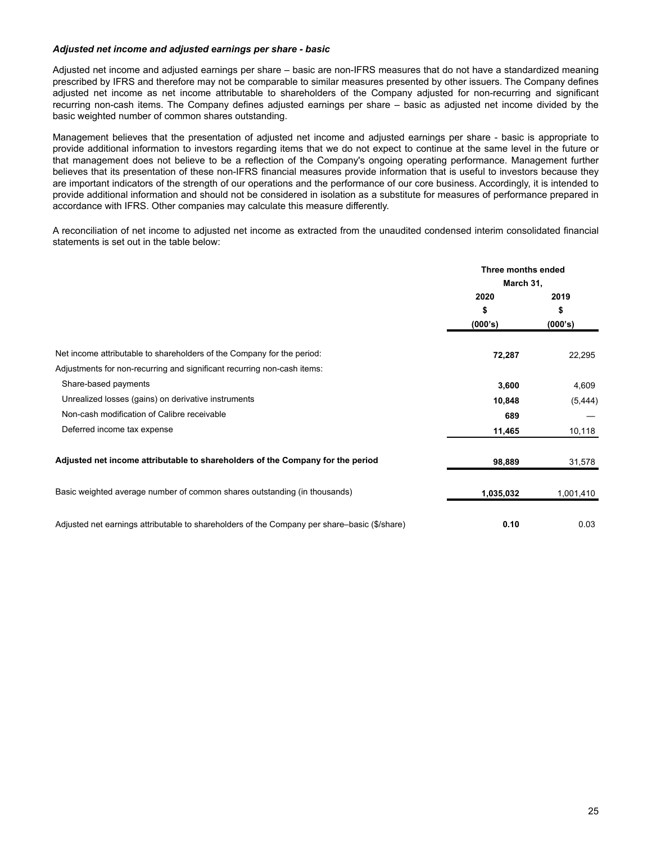#### *Adjusted net income and adjusted earnings per share - basic*

Adjusted net income and adjusted earnings per share – basic are non-IFRS measures that do not have a standardized meaning prescribed by IFRS and therefore may not be comparable to similar measures presented by other issuers. The Company defines adjusted net income as net income attributable to shareholders of the Company adjusted for non-recurring and significant recurring non-cash items. The Company defines adjusted earnings per share – basic as adjusted net income divided by the basic weighted number of common shares outstanding.

Management believes that the presentation of adjusted net income and adjusted earnings per share - basic is appropriate to provide additional information to investors regarding items that we do not expect to continue at the same level in the future or that management does not believe to be a reflection of the Company's ongoing operating performance. Management further believes that its presentation of these non-IFRS financial measures provide information that is useful to investors because they are important indicators of the strength of our operations and the performance of our core business. Accordingly, it is intended to provide additional information and should not be considered in isolation as a substitute for measures of performance prepared in accordance with IFRS. Other companies may calculate this measure differently.

A reconciliation of net income to adjusted net income as extracted from the unaudited condensed interim consolidated financial statements is set out in the table below:

|                                                                                              | Three months ended |           |  |
|----------------------------------------------------------------------------------------------|--------------------|-----------|--|
|                                                                                              | March 31,          |           |  |
|                                                                                              | 2020               | 2019      |  |
|                                                                                              | \$                 | \$        |  |
|                                                                                              | (000's)            | (000's)   |  |
| Net income attributable to shareholders of the Company for the period:                       | 72,287             | 22,295    |  |
| Adjustments for non-recurring and significant recurring non-cash items:                      |                    |           |  |
| Share-based payments                                                                         | 3,600              | 4,609     |  |
| Unrealized losses (gains) on derivative instruments                                          | 10,848             | (5, 444)  |  |
| Non-cash modification of Calibre receivable                                                  | 689                |           |  |
| Deferred income tax expense                                                                  | 11,465             | 10,118    |  |
| Adjusted net income attributable to shareholders of the Company for the period               | 98,889             | 31,578    |  |
| Basic weighted average number of common shares outstanding (in thousands)                    | 1,035,032          | 1,001,410 |  |
| Adjusted net earnings attributable to shareholders of the Company per share-basic (\$/share) | 0.10               | 0.03      |  |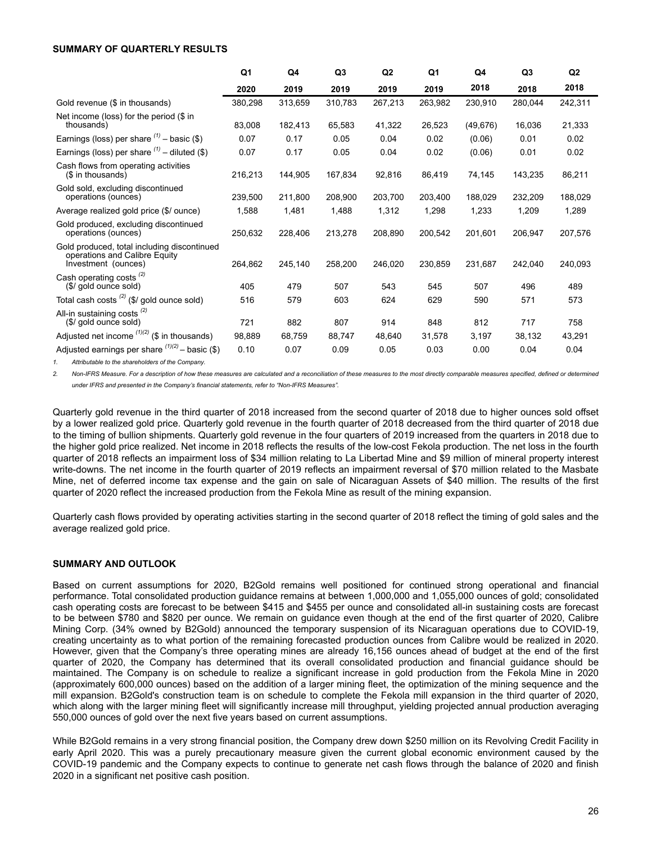#### <span id="page-25-0"></span>**SUMMARY OF QUARTERLY RESULTS**

|                                                                                                     | Q1      | Q4      | Q <sub>3</sub> | Q <sub>2</sub> | Q1      | Q4        | Q <sub>3</sub> | Q <sub>2</sub> |
|-----------------------------------------------------------------------------------------------------|---------|---------|----------------|----------------|---------|-----------|----------------|----------------|
|                                                                                                     | 2020    | 2019    | 2019           | 2019           | 2019    | 2018      | 2018           | 2018           |
| Gold revenue (\$ in thousands)                                                                      | 380,298 | 313,659 | 310,783        | 267,213        | 263,982 | 230,910   | 280,044        | 242,311        |
| Net income (loss) for the period (\$ in<br>thousands)                                               | 83,008  | 182,413 | 65,583         | 41,322         | 26,523  | (49, 676) | 16,036         | 21,333         |
| Earnings (loss) per share $(1)$ – basic (\$)                                                        | 0.07    | 0.17    | 0.05           | 0.04           | 0.02    | (0.06)    | 0.01           | 0.02           |
| Earnings (loss) per share $(7)$ – diluted (\$)                                                      | 0.07    | 0.17    | 0.05           | 0.04           | 0.02    | (0.06)    | 0.01           | 0.02           |
| Cash flows from operating activities<br>(\$ in thousands)                                           | 216,213 | 144,905 | 167,834        | 92,816         | 86,419  | 74,145    | 143,235        | 86,211         |
| Gold sold, excluding discontinued<br>operations (ounces)                                            | 239,500 | 211,800 | 208,900        | 203,700        | 203,400 | 188,029   | 232,209        | 188,029        |
| Average realized gold price (\$/ ounce)                                                             | 1,588   | 1,481   | 1,488          | 1,312          | 1,298   | 1,233     | 1,209          | 1,289          |
| Gold produced, excluding discontinued<br>operations (ounces)                                        | 250,632 | 228,406 | 213,278        | 208,890        | 200,542 | 201,601   | 206,947        | 207,576        |
| Gold produced, total including discontinued<br>operations and Calibre Equity<br>Investment (ounces) | 264,862 | 245,140 | 258,200        | 246,020        | 230,859 | 231,687   | 242,040        | 240,093        |
| Cash operating costs <sup>(2)</sup><br>(\$/ gold ounce sold)                                        | 405     | 479     | 507            | 543            | 545     | 507       | 496            | 489            |
| Total cash costs <sup>(2)</sup> (\$/ gold ounce sold)                                               | 516     | 579     | 603            | 624            | 629     | 590       | 571            | 573            |
| All-in sustaining costs <sup>(2)</sup><br>(\$/ gold ounce sold)                                     | 721     | 882     | 807            | 914            | 848     | 812       | 717            | 758            |
| Adjusted net income $(1)(2)$ (\$ in thousands)                                                      | 98,889  | 68,759  | 88,747         | 48,640         | 31,578  | 3,197     | 38,132         | 43,291         |
| Adjusted earnings per share $(1)(2)$ – basic (\$)                                                   | 0.10    | 0.07    | 0.09           | 0.05           | 0.03    | 0.00      | 0.04           | 0.04           |

*1. Attributable to the shareholders of the Company.*

Non-IFRS Measure. For a description of how these measures are calculated and a reconciliation of these measures to the most directly comparable measures specified, defined or determined *under IFRS and presented in the Company's financial statements, refer to "Non-IFRS Measures".*

Quarterly gold revenue in the third quarter of 2018 increased from the second quarter of 2018 due to higher ounces sold offset by a lower realized gold price. Quarterly gold revenue in the fourth quarter of 2018 decreased from the third quarter of 2018 due to the timing of bullion shipments. Quarterly gold revenue in the four quarters of 2019 increased from the quarters in 2018 due to the higher gold price realized. Net income in 2018 reflects the results of the low-cost Fekola production. The net loss in the fourth quarter of 2018 reflects an impairment loss of \$34 million relating to La Libertad Mine and \$9 million of mineral property interest write-downs. The net income in the fourth quarter of 2019 reflects an impairment reversal of \$70 million related to the Masbate Mine, net of deferred income tax expense and the gain on sale of Nicaraguan Assets of \$40 million. The results of the first quarter of 2020 reflect the increased production from the Fekola Mine as result of the mining expansion.

Quarterly cash flows provided by operating activities starting in the second quarter of 2018 reflect the timing of gold sales and the average realized gold price.

## **SUMMARY AND OUTLOOK**

Based on current assumptions for 2020, B2Gold remains well positioned for continued strong operational and financial performance. Total consolidated production guidance remains at between 1,000,000 and 1,055,000 ounces of gold; consolidated cash operating costs are forecast to be between \$415 and \$455 per ounce and consolidated all-in sustaining costs are forecast to be between \$780 and \$820 per ounce. We remain on guidance even though at the end of the first quarter of 2020, Calibre Mining Corp. (34% owned by B2Gold) announced the temporary suspension of its Nicaraguan operations due to COVID-19, creating uncertainty as to what portion of the remaining forecasted production ounces from Calibre would be realized in 2020. However, given that the Company's three operating mines are already 16,156 ounces ahead of budget at the end of the first quarter of 2020, the Company has determined that its overall consolidated production and financial guidance should be maintained. The Company is on schedule to realize a significant increase in gold production from the Fekola Mine in 2020 (approximately 600,000 ounces) based on the addition of a larger mining fleet, the optimization of the mining sequence and the mill expansion. B2Gold's construction team is on schedule to complete the Fekola mill expansion in the third quarter of 2020, which along with the larger mining fleet will significantly increase mill throughput, yielding projected annual production averaging 550,000 ounces of gold over the next five years based on current assumptions.

While B2Gold remains in a very strong financial position, the Company drew down \$250 million on its Revolving Credit Facility in early April 2020. This was a purely precautionary measure given the current global economic environment caused by the COVID-19 pandemic and the Company expects to continue to generate net cash flows through the balance of 2020 and finish 2020 in a significant net positive cash position.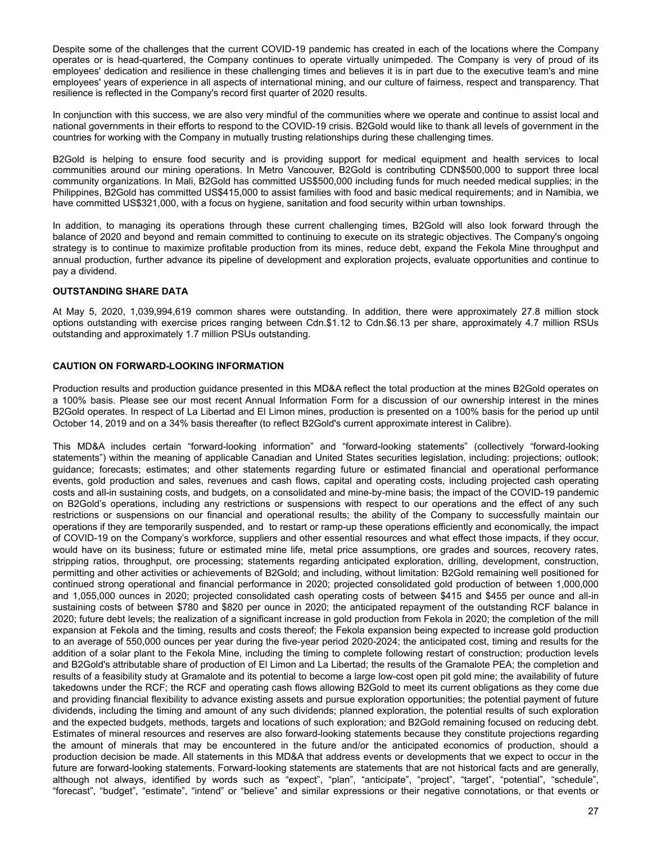<span id="page-26-0"></span>Despite some of the challenges that the current COVID-19 pandemic has created in each of the locations where the Company operates or is head-quartered, the Company continues to operate virtually unimpeded. The Company is very of proud of its employees' dedication and resilience in these challenging times and believes it is in part due to the executive team's and mine employees' years of experience in all aspects of international mining, and our culture of fairness, respect and transparency. That resilience is reflected in the Company's record first quarter of 2020 results.

In conjunction with this success, we are also very mindful of the communities where we operate and continue to assist local and national governments in their efforts to respond to the COVID-19 crisis. B2Gold would like to thank all levels of government in the countries for working with the Company in mutually trusting relationships during these challenging times.

B2Gold is helping to ensure food security and is providing support for medical equipment and health services to local communities around our mining operations. In Metro Vancouver, B2Gold is contributing CDN\$500,000 to support three local community organizations. In Mali, B2Gold has committed US\$500,000 including funds for much needed medical supplies; in the Philippines, B2Gold has committed US\$415,000 to assist families with food and basic medical requirements; and in Namibia, we have committed US\$321,000, with a focus on hygiene, sanitation and food security within urban townships.

In addition, to managing its operations through these current challenging times, B2Gold will also look forward through the balance of 2020 and beyond and remain committed to continuing to execute on its strategic objectives. The Company's ongoing strategy is to continue to maximize profitable production from its mines, reduce debt, expand the Fekola Mine throughput and annual production, further advance its pipeline of development and exploration projects, evaluate opportunities and continue to pay a dividend.

# **OUTSTANDING SHARE DATA**

At May 5, 2020, 1,039,994,619 common shares were outstanding. In addition, there were approximately 27.8 million stock options outstanding with exercise prices ranging between Cdn.\$1.12 to Cdn.\$6.13 per share, approximately 4.7 million RSUs outstanding and approximately 1.7 million PSUs outstanding.

# **CAUTION ON FORWARD-LOOKING INFORMATION**

Production results and production guidance presented in this MD&A reflect the total production at the mines B2Gold operates on a 100% basis. Please see our most recent Annual Information Form for a discussion of our ownership interest in the mines B2Gold operates. In respect of La Libertad and El Limon mines, production is presented on a 100% basis for the period up until October 14, 2019 and on a 34% basis thereafter (to reflect B2Gold's current approximate interest in Calibre).

This MD&A includes certain "forward-looking information" and "forward-looking statements" (collectively "forward-looking statements") within the meaning of applicable Canadian and United States securities legislation, including: projections; outlook; guidance; forecasts; estimates; and other statements regarding future or estimated financial and operational performance events, gold production and sales, revenues and cash flows, capital and operating costs, including projected cash operating costs and all-in sustaining costs, and budgets, on a consolidated and mine-by-mine basis; the impact of the COVID-19 pandemic on B2Gold's operations, including any restrictions or suspensions with respect to our operations and the effect of any such restrictions or suspensions on our financial and operational results; the ability of the Company to successfully maintain our operations if they are temporarily suspended, and to restart or ramp-up these operations efficiently and economically, the impact of COVID-19 on the Company's workforce, suppliers and other essential resources and what effect those impacts, if they occur, would have on its business; future or estimated mine life, metal price assumptions, ore grades and sources, recovery rates, stripping ratios, throughput, ore processing; statements regarding anticipated exploration, drilling, development, construction, permitting and other activities or achievements of B2Gold; and including, without limitation: B2Gold remaining well positioned for continued strong operational and financial performance in 2020; projected consolidated gold production of between 1,000,000 and 1,055,000 ounces in 2020; projected consolidated cash operating costs of between \$415 and \$455 per ounce and all-in sustaining costs of between \$780 and \$820 per ounce in 2020; the anticipated repayment of the outstanding RCF balance in 2020; future debt levels; the realization of a significant increase in gold production from Fekola in 2020; the completion of the mill expansion at Fekola and the timing, results and costs thereof; the Fekola expansion being expected to increase gold production to an average of 550,000 ounces per year during the five-year period 2020-2024; the anticipated cost, timing and results for the addition of a solar plant to the Fekola Mine, including the timing to complete following restart of construction; production levels and B2Gold's attributable share of production of El Limon and La Libertad; the results of the Gramalote PEA; the completion and results of a feasibility study at Gramalote and its potential to become a large low-cost open pit gold mine; the availability of future takedowns under the RCF; the RCF and operating cash flows allowing B2Gold to meet its current obligations as they come due and providing financial flexibility to advance existing assets and pursue exploration opportunities; the potential payment of future dividends, including the timing and amount of any such dividends; planned exploration, the potential results of such exploration and the expected budgets, methods, targets and locations of such exploration; and B2Gold remaining focused on reducing debt. Estimates of mineral resources and reserves are also forward-looking statements because they constitute projections regarding the amount of minerals that may be encountered in the future and/or the anticipated economics of production, should a production decision be made. All statements in this MD&A that address events or developments that we expect to occur in the future are forward-looking statements. Forward-looking statements are statements that are not historical facts and are generally, although not always, identified by words such as "expect", "plan", "anticipate", "project", "target", "potential", "schedule", "forecast", "budget", "estimate", "intend" or "believe" and similar expressions or their negative connotations, or that events or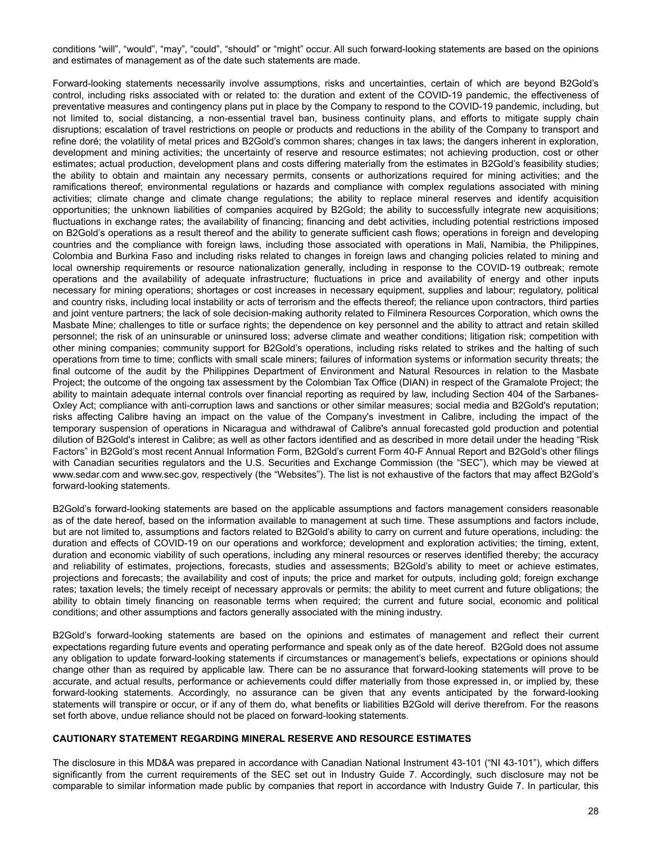conditions "will", "would", "may", "could", "should" or "might" occur. All such forward-looking statements are based on the opinions and estimates of management as of the date such statements are made.

Forward-looking statements necessarily involve assumptions, risks and uncertainties, certain of which are beyond B2Gold's control, including risks associated with or related to: the duration and extent of the COVID-19 pandemic, the effectiveness of preventative measures and contingency plans put in place by the Company to respond to the COVID-19 pandemic, including, but not limited to, social distancing, a non-essential travel ban, business continuity plans, and efforts to mitigate supply chain disruptions; escalation of travel restrictions on people or products and reductions in the ability of the Company to transport and refine doré; the volatility of metal prices and B2Gold's common shares; changes in tax laws; the dangers inherent in exploration, development and mining activities; the uncertainty of reserve and resource estimates; not achieving production, cost or other estimates; actual production, development plans and costs differing materially from the estimates in B2Gold's feasibility studies; the ability to obtain and maintain any necessary permits, consents or authorizations required for mining activities; and the ramifications thereof; environmental regulations or hazards and compliance with complex regulations associated with mining activities; climate change and climate change regulations; the ability to replace mineral reserves and identify acquisition opportunities; the unknown liabilities of companies acquired by B2Gold; the ability to successfully integrate new acquisitions; fluctuations in exchange rates; the availability of financing; financing and debt activities, including potential restrictions imposed on B2Gold's operations as a result thereof and the ability to generate sufficient cash flows; operations in foreign and developing countries and the compliance with foreign laws, including those associated with operations in Mali, Namibia, the Philippines, Colombia and Burkina Faso and including risks related to changes in foreign laws and changing policies related to mining and local ownership requirements or resource nationalization generally, including in response to the COVID-19 outbreak; remote operations and the availability of adequate infrastructure; fluctuations in price and availability of energy and other inputs necessary for mining operations; shortages or cost increases in necessary equipment, supplies and labour; regulatory, political and country risks, including local instability or acts of terrorism and the effects thereof; the reliance upon contractors, third parties and joint venture partners; the lack of sole decision-making authority related to Filminera Resources Corporation, which owns the Masbate Mine; challenges to title or surface rights; the dependence on key personnel and the ability to attract and retain skilled personnel; the risk of an uninsurable or uninsured loss; adverse climate and weather conditions; litigation risk; competition with other mining companies; community support for B2Gold's operations, including risks related to strikes and the halting of such operations from time to time; conflicts with small scale miners; failures of information systems or information security threats; the final outcome of the audit by the Philippines Department of Environment and Natural Resources in relation to the Masbate Project; the outcome of the ongoing tax assessment by the Colombian Tax Office (DIAN) in respect of the Gramalote Project; the ability to maintain adequate internal controls over financial reporting as required by law, including Section 404 of the Sarbanes-Oxley Act; compliance with anti-corruption laws and sanctions or other similar measures; social media and B2Gold's reputation; risks affecting Calibre having an impact on the value of the Company's investment in Calibre, including the impact of the temporary suspension of operations in Nicaragua and withdrawal of Calibre's annual forecasted gold production and potential dilution of B2Gold's interest in Calibre; as well as other factors identified and as described in more detail under the heading "Risk Factors" in B2Gold's most recent Annual Information Form, B2Gold's current Form 40-F Annual Report and B2Gold's other filings with Canadian securities regulators and the U.S. Securities and Exchange Commission (the "SEC"), which may be viewed at www.sedar.com and www.sec.gov, respectively (the "Websites"). The list is not exhaustive of the factors that may affect B2Gold's forward-looking statements.

B2Gold's forward-looking statements are based on the applicable assumptions and factors management considers reasonable as of the date hereof, based on the information available to management at such time. These assumptions and factors include, but are not limited to, assumptions and factors related to B2Gold's ability to carry on current and future operations, including: the duration and effects of COVID-19 on our operations and workforce; development and exploration activities; the timing, extent, duration and economic viability of such operations, including any mineral resources or reserves identified thereby; the accuracy and reliability of estimates, projections, forecasts, studies and assessments; B2Gold's ability to meet or achieve estimates, projections and forecasts; the availability and cost of inputs; the price and market for outputs, including gold; foreign exchange rates; taxation levels; the timely receipt of necessary approvals or permits; the ability to meet current and future obligations; the ability to obtain timely financing on reasonable terms when required; the current and future social, economic and political conditions; and other assumptions and factors generally associated with the mining industry.

B2Gold's forward-looking statements are based on the opinions and estimates of management and reflect their current expectations regarding future events and operating performance and speak only as of the date hereof. B2Gold does not assume any obligation to update forward-looking statements if circumstances or management's beliefs, expectations or opinions should change other than as required by applicable law. There can be no assurance that forward-looking statements will prove to be accurate, and actual results, performance or achievements could differ materially from those expressed in, or implied by, these forward-looking statements. Accordingly, no assurance can be given that any events anticipated by the forward-looking statements will transpire or occur, or if any of them do, what benefits or liabilities B2Gold will derive therefrom. For the reasons set forth above, undue reliance should not be placed on forward-looking statements.

#### **CAUTIONARY STATEMENT REGARDING MINERAL RESERVE AND RESOURCE ESTIMATES**

The disclosure in this MD&A was prepared in accordance with Canadian National Instrument 43-101 ("NI 43-101"), which differs significantly from the current requirements of the SEC set out in Industry Guide 7. Accordingly, such disclosure may not be comparable to similar information made public by companies that report in accordance with Industry Guide 7. In particular, this